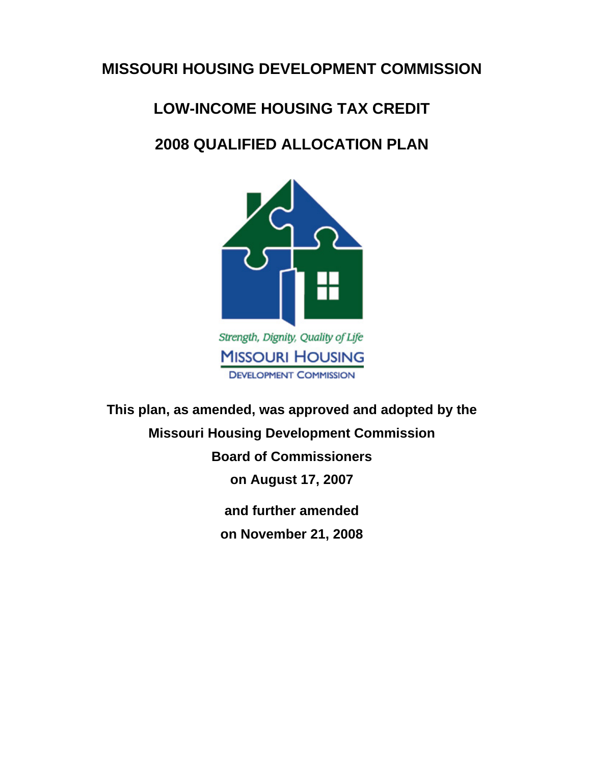# **MISSOURI HOUSING DEVELOPMENT COMMISSION**

# **LOW-INCOME HOUSING TAX CREDIT**

# **2008 QUALIFIED ALLOCATION PLAN**



**This plan, as amended, was approved and adopted by the Missouri Housing Development Commission Board of Commissioners on August 17, 2007 and further amended on November 21, 2008**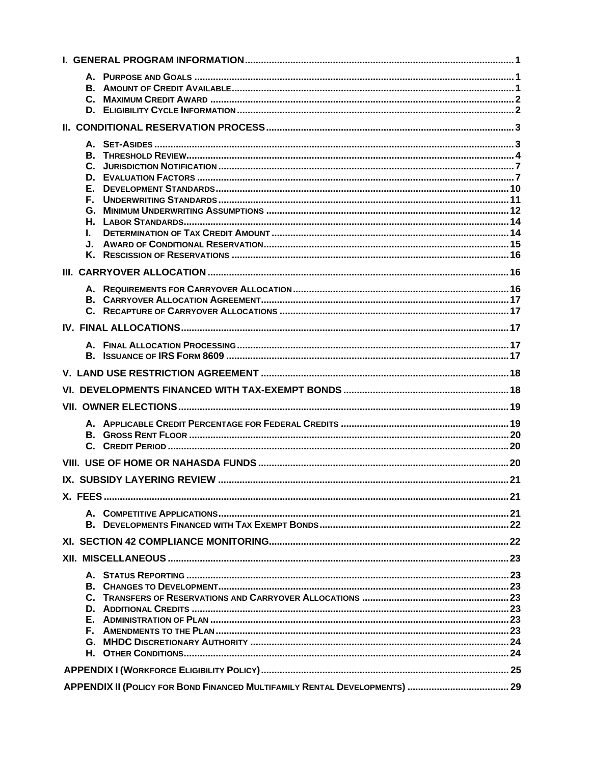| L. |  |  |  |  |
|----|--|--|--|--|
|    |  |  |  |  |
|    |  |  |  |  |
|    |  |  |  |  |
|    |  |  |  |  |
|    |  |  |  |  |
|    |  |  |  |  |
|    |  |  |  |  |
|    |  |  |  |  |
|    |  |  |  |  |
|    |  |  |  |  |
|    |  |  |  |  |
|    |  |  |  |  |
|    |  |  |  |  |
|    |  |  |  |  |
|    |  |  |  |  |
|    |  |  |  |  |
|    |  |  |  |  |
|    |  |  |  |  |
|    |  |  |  |  |
|    |  |  |  |  |
|    |  |  |  |  |
|    |  |  |  |  |
|    |  |  |  |  |
|    |  |  |  |  |
|    |  |  |  |  |
|    |  |  |  |  |
|    |  |  |  |  |
|    |  |  |  |  |
|    |  |  |  |  |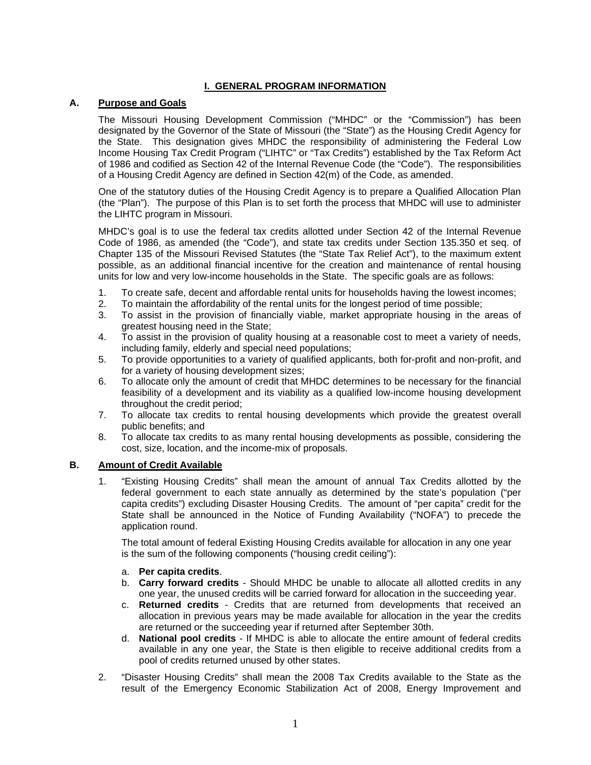# **I. GENERAL PROGRAM INFORMATION**

#### **A. Purpose and Goals**

The Missouri Housing Development Commission ("MHDC" or the "Commission") has been designated by the Governor of the State of Missouri (the "State") as the Housing Credit Agency for the State. This designation gives MHDC the responsibility of administering the Federal Low Income Housing Tax Credit Program ("LIHTC" or "Tax Credits") established by the Tax Reform Act of 1986 and codified as Section 42 of the Internal Revenue Code (the "Code"). The responsibilities of a Housing Credit Agency are defined in Section 42(m) of the Code, as amended.

One of the statutory duties of the Housing Credit Agency is to prepare a Qualified Allocation Plan (the "Plan"). The purpose of this Plan is to set forth the process that MHDC will use to administer the LIHTC program in Missouri.

MHDC's goal is to use the federal tax credits allotted under Section 42 of the Internal Revenue Code of 1986, as amended (the "Code"), and state tax credits under Section 135.350 et seq. of Chapter 135 of the Missouri Revised Statutes (the "State Tax Relief Act"), to the maximum extent possible, as an additional financial incentive for the creation and maintenance of rental housing units for low and very low-income households in the State. The specific goals are as follows:

- 1. To create safe, decent and affordable rental units for households having the lowest incomes;
- 2. To maintain the affordability of the rental units for the longest period of time possible;
- 3. To assist in the provision of financially viable, market appropriate housing in the areas of greatest housing need in the State;
- 4. To assist in the provision of quality housing at a reasonable cost to meet a variety of needs, including family, elderly and special need populations;
- 5. To provide opportunities to a variety of qualified applicants, both for-profit and non-profit, and for a variety of housing development sizes;
- 6. To allocate only the amount of credit that MHDC determines to be necessary for the financial feasibility of a development and its viability as a qualified low-income housing development throughout the credit period;
- 7. To allocate tax credits to rental housing developments which provide the greatest overall public benefits; and
- 8. To allocate tax credits to as many rental housing developments as possible, considering the cost, size, location, and the income-mix of proposals.

#### **B. Amount of Credit Available**

1. "Existing Housing Credits" shall mean the amount of annual Tax Credits allotted by the federal government to each state annually as determined by the state's population ("per capita credits") excluding Disaster Housing Credits. The amount of "per capita" credit for the State shall be announced in the Notice of Funding Availability ("NOFA") to precede the application round.

 The total amount of federal Existing Housing Credits available for allocation in any one year is the sum of the following components ("housing credit ceiling"):

#### a. **Per capita credits**.

- b. **Carry forward credits** Should MHDC be unable to allocate all allotted credits in any one year, the unused credits will be carried forward for allocation in the succeeding year.
- c. **Returned credits** Credits that are returned from developments that received an allocation in previous years may be made available for allocation in the year the credits are returned or the succeeding year if returned after September 30th.
- d. **National pool credits** If MHDC is able to allocate the entire amount of federal credits available in any one year, the State is then eligible to receive additional credits from a pool of credits returned unused by other states.
- 2. "Disaster Housing Credits" shall mean the 2008 Tax Credits available to the State as the result of the Emergency Economic Stabilization Act of 2008, Energy Improvement and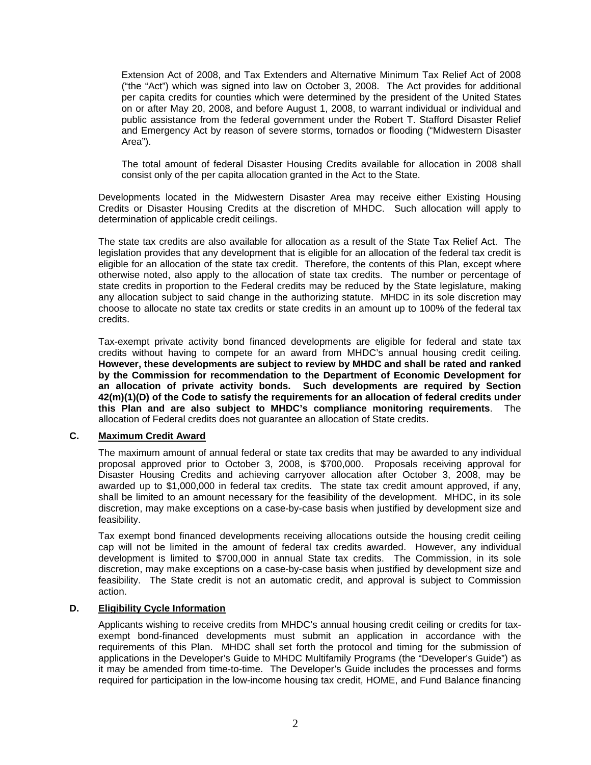Extension Act of 2008, and Tax Extenders and Alternative Minimum Tax Relief Act of 2008 ("the "Act") which was signed into law on October 3, 2008. The Act provides for additional per capita credits for counties which were determined by the president of the United States on or after May 20, 2008, and before August 1, 2008, to warrant individual or individual and public assistance from the federal government under the Robert T. Stafford Disaster Relief and Emergency Act by reason of severe storms, tornados or flooding ("Midwestern Disaster Area").

 The total amount of federal Disaster Housing Credits available for allocation in 2008 shall consist only of the per capita allocation granted in the Act to the State.

Developments located in the Midwestern Disaster Area may receive either Existing Housing Credits or Disaster Housing Credits at the discretion of MHDC. Such allocation will apply to determination of applicable credit ceilings.

The state tax credits are also available for allocation as a result of the State Tax Relief Act. The legislation provides that any development that is eligible for an allocation of the federal tax credit is eligible for an allocation of the state tax credit. Therefore, the contents of this Plan, except where otherwise noted, also apply to the allocation of state tax credits. The number or percentage of state credits in proportion to the Federal credits may be reduced by the State legislature, making any allocation subject to said change in the authorizing statute. MHDC in its sole discretion may choose to allocate no state tax credits or state credits in an amount up to 100% of the federal tax credits.

Tax-exempt private activity bond financed developments are eligible for federal and state tax credits without having to compete for an award from MHDC's annual housing credit ceiling. **However, these developments are subject to review by MHDC and shall be rated and ranked by the Commission for recommendation to the Department of Economic Development for an allocation of private activity bonds. Such developments are required by Section 42(m)(1)(D) of the Code to satisfy the requirements for an allocation of federal credits under this Plan and are also subject to MHDC's compliance monitoring requirements**. The allocation of Federal credits does not guarantee an allocation of State credits.

#### **C. Maximum Credit Award**

The maximum amount of annual federal or state tax credits that may be awarded to any individual proposal approved prior to October 3, 2008, is \$700,000. Proposals receiving approval for Disaster Housing Credits and achieving carryover allocation after October 3, 2008, may be awarded up to \$1,000,000 in federal tax credits. The state tax credit amount approved, if any, shall be limited to an amount necessary for the feasibility of the development. MHDC, in its sole discretion, may make exceptions on a case-by-case basis when justified by development size and feasibility.

Tax exempt bond financed developments receiving allocations outside the housing credit ceiling cap will not be limited in the amount of federal tax credits awarded. However, any individual development is limited to \$700,000 in annual State tax credits. The Commission, in its sole discretion, may make exceptions on a case-by-case basis when justified by development size and feasibility. The State credit is not an automatic credit, and approval is subject to Commission action.

#### **D. Eligibility Cycle Information**

Applicants wishing to receive credits from MHDC's annual housing credit ceiling or credits for taxexempt bond-financed developments must submit an application in accordance with the requirements of this Plan. MHDC shall set forth the protocol and timing for the submission of applications in the Developer's Guide to MHDC Multifamily Programs (the "Developer's Guide") as it may be amended from time-to-time. The Developer's Guide includes the processes and forms required for participation in the low-income housing tax credit, HOME, and Fund Balance financing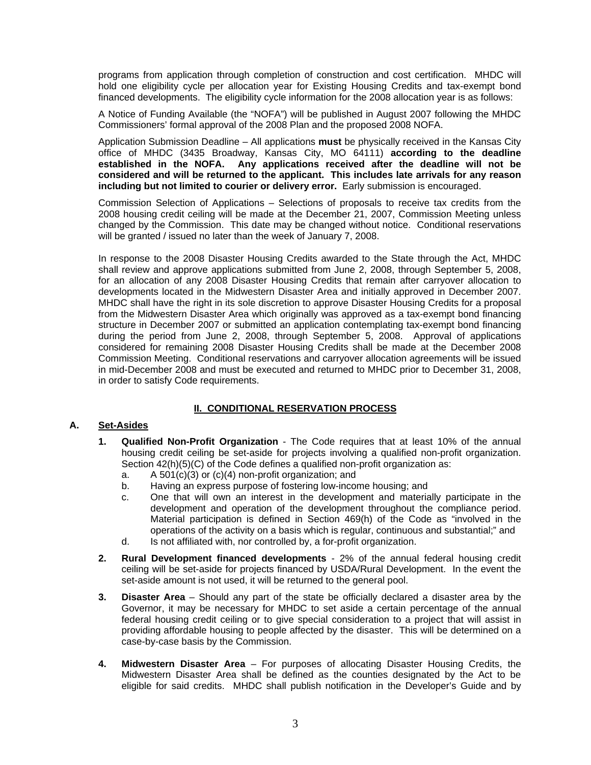programs from application through completion of construction and cost certification. MHDC will hold one eligibility cycle per allocation year for Existing Housing Credits and tax-exempt bond financed developments. The eligibility cycle information for the 2008 allocation year is as follows:

A Notice of Funding Available (the "NOFA") will be published in August 2007 following the MHDC Commissioners' formal approval of the 2008 Plan and the proposed 2008 NOFA.

Application Submission Deadline – All applications **must** be physically received in the Kansas City office of MHDC (3435 Broadway, Kansas City, MO 64111) **according to the deadline established in the NOFA. Any applications received after the deadline will not be considered and will be returned to the applicant. This includes late arrivals for any reason including but not limited to courier or delivery error.** Early submission is encouraged.

Commission Selection of Applications – Selections of proposals to receive tax credits from the 2008 housing credit ceiling will be made at the December 21, 2007, Commission Meeting unless changed by the Commission. This date may be changed without notice. Conditional reservations will be granted / issued no later than the week of January 7, 2008.

In response to the 2008 Disaster Housing Credits awarded to the State through the Act, MHDC shall review and approve applications submitted from June 2, 2008, through September 5, 2008, for an allocation of any 2008 Disaster Housing Credits that remain after carryover allocation to developments located in the Midwestern Disaster Area and initially approved in December 2007. MHDC shall have the right in its sole discretion to approve Disaster Housing Credits for a proposal from the Midwestern Disaster Area which originally was approved as a tax-exempt bond financing structure in December 2007 or submitted an application contemplating tax-exempt bond financing during the period from June 2, 2008, through September 5, 2008. Approval of applications considered for remaining 2008 Disaster Housing Credits shall be made at the December 2008 Commission Meeting. Conditional reservations and carryover allocation agreements will be issued in mid-December 2008 and must be executed and returned to MHDC prior to December 31, 2008, in order to satisfy Code requirements.

# **II. CONDITIONAL RESERVATION PROCESS**

## **A. Set-Asides**

- **1. Qualified Non-Profit Organization** The Code requires that at least 10% of the annual housing credit ceiling be set-aside for projects involving a qualified non-profit organization. Section 42(h)(5)(C) of the Code defines a qualified non-profit organization as:
	- a. A 501(c)(3) or (c)(4) non-profit organization; and
	- b. Having an express purpose of fostering low-income housing; and
	- c. One that will own an interest in the development and materially participate in the development and operation of the development throughout the compliance period. Material participation is defined in Section 469(h) of the Code as "involved in the operations of the activity on a basis which is regular, continuous and substantial;" and
	- d. Is not affiliated with, nor controlled by, a for-profit organization.
- **2. Rural Development financed developments** 2% of the annual federal housing credit ceiling will be set-aside for projects financed by USDA/Rural Development. In the event the set-aside amount is not used, it will be returned to the general pool.
- **3. Disaster Area** Should any part of the state be officially declared a disaster area by the Governor, it may be necessary for MHDC to set aside a certain percentage of the annual federal housing credit ceiling or to give special consideration to a project that will assist in providing affordable housing to people affected by the disaster. This will be determined on a case-by-case basis by the Commission.
- **4. Midwestern Disaster Area**  For purposes of allocating Disaster Housing Credits, the Midwestern Disaster Area shall be defined as the counties designated by the Act to be eligible for said credits. MHDC shall publish notification in the Developer's Guide and by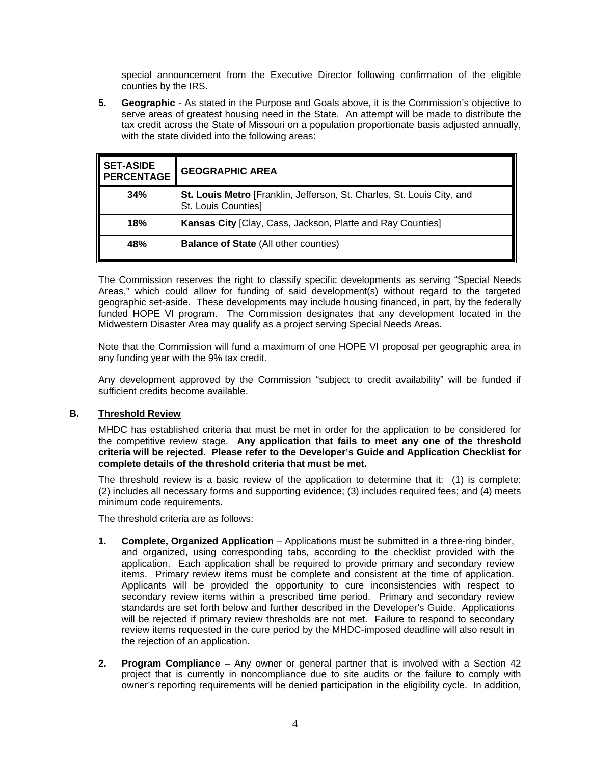special announcement from the Executive Director following confirmation of the eligible counties by the IRS.

**5. Geographic** - As stated in the Purpose and Goals above, it is the Commission's objective to serve areas of greatest housing need in the State. An attempt will be made to distribute the tax credit across the State of Missouri on a population proportionate basis adjusted annually, with the state divided into the following areas:

| <b>SET-ASIDE</b><br><b>PERCENTAGE</b> | <b>GEOGRAPHIC AREA</b>                                                                        |
|---------------------------------------|-----------------------------------------------------------------------------------------------|
| 34%                                   | St. Louis Metro [Franklin, Jefferson, St. Charles, St. Louis City, and<br>St. Louis Counties] |
| 18%                                   | Kansas City [Clay, Cass, Jackson, Platte and Ray Counties]                                    |
| 48%                                   | <b>Balance of State (All other counties)</b>                                                  |

The Commission reserves the right to classify specific developments as serving "Special Needs Areas," which could allow for funding of said development(s) without regard to the targeted geographic set-aside. These developments may include housing financed, in part, by the federally funded HOPE VI program. The Commission designates that any development located in the Midwestern Disaster Area may qualify as a project serving Special Needs Areas.

Note that the Commission will fund a maximum of one HOPE VI proposal per geographic area in any funding year with the 9% tax credit.

Any development approved by the Commission "subject to credit availability" will be funded if sufficient credits become available.

#### **B. Threshold Review**

MHDC has established criteria that must be met in order for the application to be considered for the competitive review stage. **Any application that fails to meet any one of the threshold criteria will be rejected. Please refer to the Developer's Guide and Application Checklist for complete details of the threshold criteria that must be met.** 

The threshold review is a basic review of the application to determine that it: (1) is complete; (2) includes all necessary forms and supporting evidence; (3) includes required fees; and (4) meets minimum code requirements.

The threshold criteria are as follows:

- **1. Complete, Organized Application** Applications must be submitted in a three-ring binder, and organized, using corresponding tabs, according to the checklist provided with the application. Each application shall be required to provide primary and secondary review items. Primary review items must be complete and consistent at the time of application. Applicants will be provided the opportunity to cure inconsistencies with respect to secondary review items within a prescribed time period. Primary and secondary review standards are set forth below and further described in the Developer's Guide. Applications will be rejected if primary review thresholds are not met. Failure to respond to secondary review items requested in the cure period by the MHDC-imposed deadline will also result in the rejection of an application.
- **2. Program Compliance** Any owner or general partner that is involved with a Section 42 project that is currently in noncompliance due to site audits or the failure to comply with owner's reporting requirements will be denied participation in the eligibility cycle. In addition,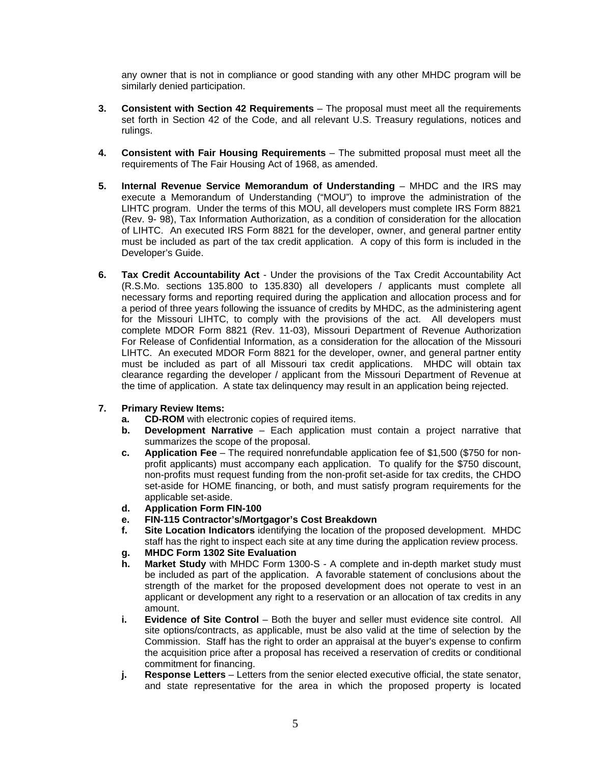any owner that is not in compliance or good standing with any other MHDC program will be similarly denied participation.

- **3. Consistent with Section 42 Requirements** The proposal must meet all the requirements set forth in Section 42 of the Code, and all relevant U.S. Treasury regulations, notices and rulings.
- **4. Consistent with Fair Housing Requirements** The submitted proposal must meet all the requirements of The Fair Housing Act of 1968, as amended.
- **5. Internal Revenue Service Memorandum of Understanding** MHDC and the IRS may execute a Memorandum of Understanding ("MOU") to improve the administration of the LIHTC program. Under the terms of this MOU, all developers must complete IRS Form 8821 (Rev. 9- 98), Tax Information Authorization, as a condition of consideration for the allocation of LIHTC. An executed IRS Form 8821 for the developer, owner, and general partner entity must be included as part of the tax credit application. A copy of this form is included in the Developer's Guide.
- **6. Tax Credit Accountability Act** Under the provisions of the Tax Credit Accountability Act (R.S.Mo. sections 135.800 to 135.830) all developers / applicants must complete all necessary forms and reporting required during the application and allocation process and for a period of three years following the issuance of credits by MHDC, as the administering agent for the Missouri LIHTC, to comply with the provisions of the act. All developers must complete MDOR Form 8821 (Rev. 11-03), Missouri Department of Revenue Authorization For Release of Confidential Information, as a consideration for the allocation of the Missouri LIHTC. An executed MDOR Form 8821 for the developer, owner, and general partner entity must be included as part of all Missouri tax credit applications. MHDC will obtain tax clearance regarding the developer / applicant from the Missouri Department of Revenue at the time of application. A state tax delinquency may result in an application being rejected.

# **7. Primary Review Items:**

- **a.** CD-ROM with electronic copies of required items.
- **b. Development Narrative** Each application must contain a project narrative that summarizes the scope of the proposal.
- **c. Application Fee** The required nonrefundable application fee of \$1,500 (\$750 for nonprofit applicants) must accompany each application. To qualify for the \$750 discount, non-profits must request funding from the non-profit set-aside for tax credits, the CHDO set-aside for HOME financing, or both, and must satisfy program requirements for the applicable set-aside.
- **d. Application Form FIN-100**
- **e. FIN-115 Contractor's/Mortgagor's Cost Breakdown**
- **f. Site Location Indicators** identifying the location of the proposed development. MHDC staff has the right to inspect each site at any time during the application review process.
- **g. MHDC Form 1302 Site Evaluation**
- **h. Market Study** with MHDC Form 1300-S A complete and in-depth market study must be included as part of the application. A favorable statement of conclusions about the strength of the market for the proposed development does not operate to vest in an applicant or development any right to a reservation or an allocation of tax credits in any amount.
- **i. Evidence of Site Control** Both the buyer and seller must evidence site control. All site options/contracts, as applicable, must be also valid at the time of selection by the Commission. Staff has the right to order an appraisal at the buyer's expense to confirm the acquisition price after a proposal has received a reservation of credits or conditional commitment for financing.
- **j. Response Letters** Letters from the senior elected executive official, the state senator, and state representative for the area in which the proposed property is located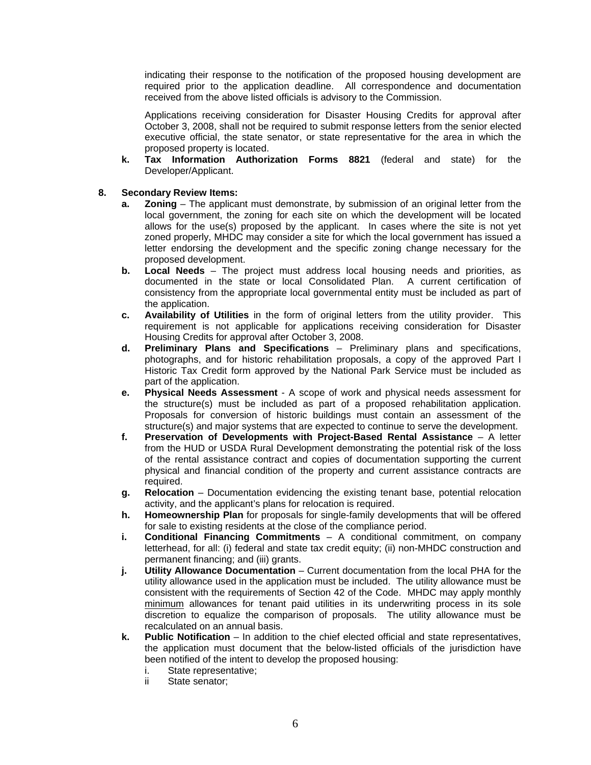indicating their response to the notification of the proposed housing development are required prior to the application deadline. All correspondence and documentation received from the above listed officials is advisory to the Commission.

 Applications receiving consideration for Disaster Housing Credits for approval after October 3, 2008, shall not be required to submit response letters from the senior elected executive official, the state senator, or state representative for the area in which the proposed property is located.

 **k. Tax Information Authorization Forms 8821** (federal and state) for the Developer/Applicant.

## **8. Secondary Review Items:**

- **a. Zoning** The applicant must demonstrate, by submission of an original letter from the local government, the zoning for each site on which the development will be located allows for the use(s) proposed by the applicant. In cases where the site is not yet zoned properly, MHDC may consider a site for which the local government has issued a letter endorsing the development and the specific zoning change necessary for the proposed development.
- **b. Local Needs** The project must address local housing needs and priorities, as documented in the state or local Consolidated Plan. A current certification of consistency from the appropriate local governmental entity must be included as part of the application.
- **c. Availability of Utilities** in the form of original letters from the utility provider. This requirement is not applicable for applications receiving consideration for Disaster Housing Credits for approval after October 3, 2008.
- **d. Preliminary Plans and Specifications** Preliminary plans and specifications, photographs, and for historic rehabilitation proposals, a copy of the approved Part I Historic Tax Credit form approved by the National Park Service must be included as part of the application.
- **e. Physical Needs Assessment** A scope of work and physical needs assessment for the structure(s) must be included as part of a proposed rehabilitation application. Proposals for conversion of historic buildings must contain an assessment of the structure(s) and major systems that are expected to continue to serve the development.
- **f. Preservation of Developments with Project-Based Rental Assistance** A letter from the HUD or USDA Rural Development demonstrating the potential risk of the loss of the rental assistance contract and copies of documentation supporting the current physical and financial condition of the property and current assistance contracts are required.
- **g. Relocation** Documentation evidencing the existing tenant base, potential relocation activity, and the applicant's plans for relocation is required.
- **h. Homeownership Plan** for proposals for single-family developments that will be offered for sale to existing residents at the close of the compliance period.
- **i. Conditional Financing Commitments** A conditional commitment, on company letterhead, for all: (i) federal and state tax credit equity; (ii) non-MHDC construction and permanent financing; and (iii) grants.
- **j. Utility Allowance Documentation** Current documentation from the local PHA for the utility allowance used in the application must be included. The utility allowance must be consistent with the requirements of Section 42 of the Code. MHDC may apply monthly minimum allowances for tenant paid utilities in its underwriting process in its sole discretion to equalize the comparison of proposals. The utility allowance must be recalculated on an annual basis.
- **k. Public Notification** In addition to the chief elected official and state representatives, the application must document that the below-listed officials of the jurisdiction have been notified of the intent to develop the proposed housing:
	- i. State representative;
	- ii State senator;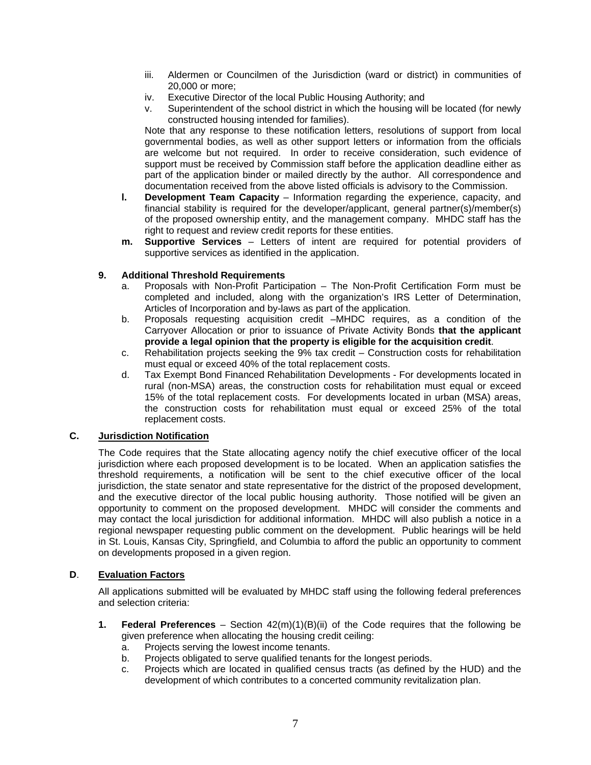- iii. Aldermen or Councilmen of the Jurisdiction (ward or district) in communities of 20,000 or more;
- iv. Executive Director of the local Public Housing Authority; and
- v. Superintendent of the school district in which the housing will be located (for newly constructed housing intended for families).

 Note that any response to these notification letters, resolutions of support from local governmental bodies, as well as other support letters or information from the officials are welcome but not required. In order to receive consideration, such evidence of support must be received by Commission staff before the application deadline either as part of the application binder or mailed directly by the author. All correspondence and documentation received from the above listed officials is advisory to the Commission.

- **l. Development Team Capacity** Information regarding the experience, capacity, and financial stability is required for the developer/applicant, general partner(s)/member(s) of the proposed ownership entity, and the management company. MHDC staff has the right to request and review credit reports for these entities.
- **m. Supportive Services**  Letters of intent are required for potential providers of supportive services as identified in the application.

# **9. Additional Threshold Requirements**

- a. Proposals with Non-Profit Participation The Non-Profit Certification Form must be completed and included, along with the organization's IRS Letter of Determination, Articles of Incorporation and by-laws as part of the application.
- b. Proposals requesting acquisition credit –MHDC requires, as a condition of the Carryover Allocation or prior to issuance of Private Activity Bonds **that the applicant provide a legal opinion that the property is eligible for the acquisition credit**.
- c. Rehabilitation projects seeking the 9% tax credit Construction costs for rehabilitation must equal or exceed 40% of the total replacement costs.
- d. Tax Exempt Bond Financed Rehabilitation Developments For developments located in rural (non-MSA) areas, the construction costs for rehabilitation must equal or exceed 15% of the total replacement costs. For developments located in urban (MSA) areas, the construction costs for rehabilitation must equal or exceed 25% of the total replacement costs.

# **C. Jurisdiction Notification**

The Code requires that the State allocating agency notify the chief executive officer of the local jurisdiction where each proposed development is to be located. When an application satisfies the threshold requirements, a notification will be sent to the chief executive officer of the local jurisdiction, the state senator and state representative for the district of the proposed development, and the executive director of the local public housing authority. Those notified will be given an opportunity to comment on the proposed development. MHDC will consider the comments and may contact the local jurisdiction for additional information. MHDC will also publish a notice in a regional newspaper requesting public comment on the development. Public hearings will be held in St. Louis, Kansas City, Springfield, and Columbia to afford the public an opportunity to comment on developments proposed in a given region.

#### **D**. **Evaluation Factors**

All applications submitted will be evaluated by MHDC staff using the following federal preferences and selection criteria:

- **1. Federal Preferences** Section 42(m)(1)(B)(ii) of the Code requires that the following be given preference when allocating the housing credit ceiling:
	- a. Projects serving the lowest income tenants.
	- b. Projects obligated to serve qualified tenants for the longest periods.
	- c. Projects which are located in qualified census tracts (as defined by the HUD) and the development of which contributes to a concerted community revitalization plan.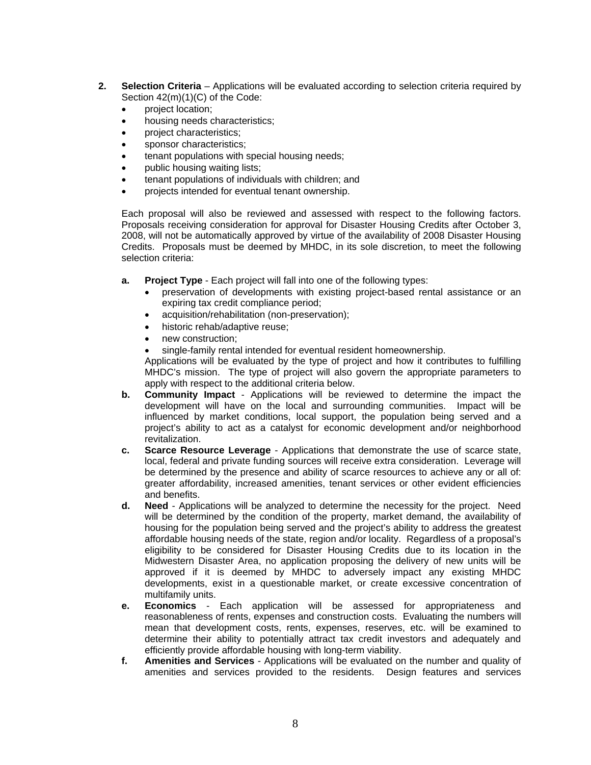- **2. Selection Criteria**  Applications will be evaluated according to selection criteria required by Section 42(m)(1)(C) of the Code:
	- project location;
	- housing needs characteristics;
	- project characteristics;
	- sponsor characteristics;
	- tenant populations with special housing needs;
	- public housing waiting lists;
	- tenant populations of individuals with children; and
	- projects intended for eventual tenant ownership.

Each proposal will also be reviewed and assessed with respect to the following factors. Proposals receiving consideration for approval for Disaster Housing Credits after October 3, 2008, will not be automatically approved by virtue of the availability of 2008 Disaster Housing Credits. Proposals must be deemed by MHDC, in its sole discretion, to meet the following selection criteria:

- **a. Project Type** Each project will fall into one of the following types:
	- preservation of developments with existing project-based rental assistance or an expiring tax credit compliance period;
	- acquisition/rehabilitation (non-preservation);
	- historic rehab/adaptive reuse;
	- new construction;
	- single-family rental intended for eventual resident homeownership.

 Applications will be evaluated by the type of project and how it contributes to fulfilling MHDC's mission. The type of project will also govern the appropriate parameters to apply with respect to the additional criteria below.

- **b. Community Impact** Applications will be reviewed to determine the impact the development will have on the local and surrounding communities. Impact will be influenced by market conditions, local support, the population being served and a project's ability to act as a catalyst for economic development and/or neighborhood revitalization.
- **c. Scarce Resource Leverage** Applications that demonstrate the use of scarce state, local, federal and private funding sources will receive extra consideration. Leverage will be determined by the presence and ability of scarce resources to achieve any or all of: greater affordability, increased amenities, tenant services or other evident efficiencies and benefits.
- **d. Need** Applications will be analyzed to determine the necessity for the project. Need will be determined by the condition of the property, market demand, the availability of housing for the population being served and the project's ability to address the greatest affordable housing needs of the state, region and/or locality. Regardless of a proposal's eligibility to be considered for Disaster Housing Credits due to its location in the Midwestern Disaster Area, no application proposing the delivery of new units will be approved if it is deemed by MHDC to adversely impact any existing MHDC developments, exist in a questionable market, or create excessive concentration of multifamily units.
- **e. Economics** Each application will be assessed for appropriateness and reasonableness of rents, expenses and construction costs. Evaluating the numbers will mean that development costs, rents, expenses, reserves, etc. will be examined to determine their ability to potentially attract tax credit investors and adequately and efficiently provide affordable housing with long-term viability.
- **f. Amenities and Services** Applications will be evaluated on the number and quality of amenities and services provided to the residents. Design features and services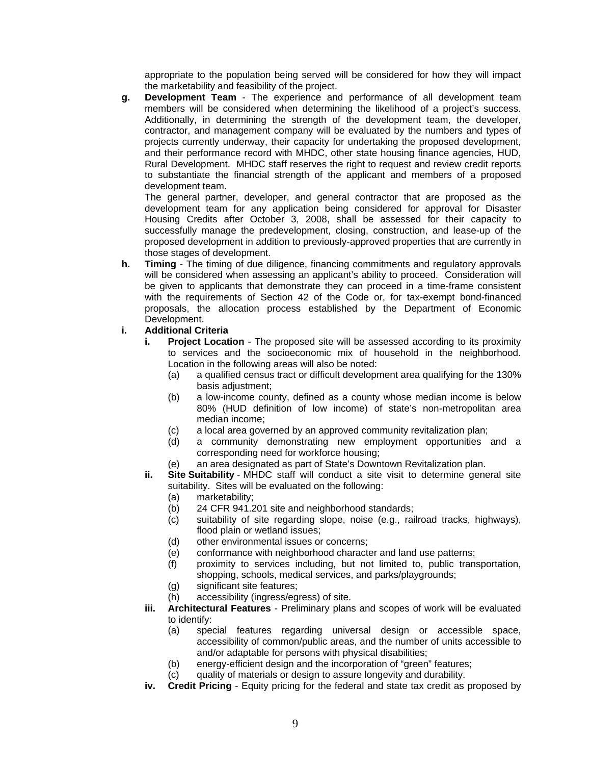appropriate to the population being served will be considered for how they will impact the marketability and feasibility of the project.

**g. Development Team** - The experience and performance of all development team members will be considered when determining the likelihood of a project's success. Additionally, in determining the strength of the development team, the developer, contractor, and management company will be evaluated by the numbers and types of projects currently underway, their capacity for undertaking the proposed development, and their performance record with MHDC, other state housing finance agencies, HUD, Rural Development. MHDC staff reserves the right to request and review credit reports to substantiate the financial strength of the applicant and members of a proposed development team.

The general partner, developer, and general contractor that are proposed as the development team for any application being considered for approval for Disaster Housing Credits after October 3, 2008, shall be assessed for their capacity to successfully manage the predevelopment, closing, construction, and lease-up of the proposed development in addition to previously-approved properties that are currently in those stages of development.

**h. Timing** - The timing of due diligence, financing commitments and regulatory approvals will be considered when assessing an applicant's ability to proceed. Consideration will be given to applicants that demonstrate they can proceed in a time-frame consistent with the requirements of Section 42 of the Code or, for tax-exempt bond-financed proposals, the allocation process established by the Department of Economic Development.

# **i. Additional Criteria**

- **i.** Project Location The proposed site will be assessed according to its proximity to services and the socioeconomic mix of household in the neighborhood. Location in the following areas will also be noted:
	- (a) a qualified census tract or difficult development area qualifying for the 130% basis adjustment;
	- (b) a low-income county, defined as a county whose median income is below 80% (HUD definition of low income) of state's non-metropolitan area median income;
	- (c) a local area governed by an approved community revitalization plan;<br>(d) a community demonstrating new employment opportunities
	- a community demonstrating new employment opportunities and a corresponding need for workforce housing;
	- (e) an area designated as part of State's Downtown Revitalization plan.
- **ii.** Site Suitability MHDC staff will conduct a site visit to determine general site suitability. Sites will be evaluated on the following:
	- (a) marketability;
	- (b) 24 CFR 941.201 site and neighborhood standards;
	- (c) suitability of site regarding slope, noise (e.g., railroad tracks, highways), flood plain or wetland issues;
	- (d) other environmental issues or concerns;
	- (e) conformance with neighborhood character and land use patterns;
	- (f) proximity to services including, but not limited to, public transportation, shopping, schools, medical services, and parks/playgrounds;
	- (g) significant site features;
	- (h) accessibility (ingress/egress) of site.
- **iii. Architectural Features** Preliminary plans and scopes of work will be evaluated to identify:
	- (a) special features regarding universal design or accessible space, accessibility of common/public areas, and the number of units accessible to and/or adaptable for persons with physical disabilities;
	- (b) energy-efficient design and the incorporation of "green" features;
	- (c) quality of materials or design to assure longevity and durability.
- **iv. Credit Pricing** Equity pricing for the federal and state tax credit as proposed by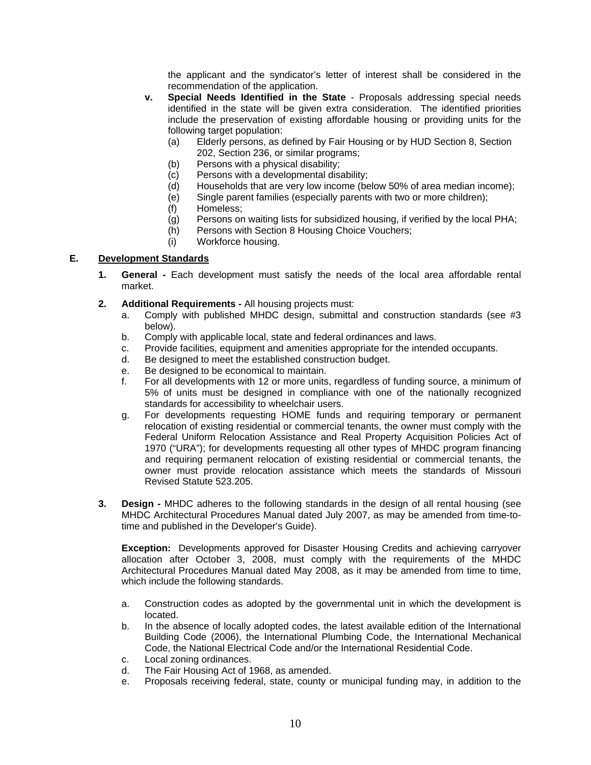the applicant and the syndicator's letter of interest shall be considered in the recommendation of the application.

- **v. Special Needs Identified in the State** Proposals addressing special needs identified in the state will be given extra consideration. The identified priorities include the preservation of existing affordable housing or providing units for the following target population:
	- (a) Elderly persons, as defined by Fair Housing or by HUD Section 8, Section 202, Section 236, or similar programs;
	- (b) Persons with a physical disability;
	- (c) Persons with a developmental disability;
	- (d) Households that are very low income (below 50% of area median income);
	- (e) Single parent families (especially parents with two or more children);
	- (f) Homeless;
	- (g) Persons on waiting lists for subsidized housing, if verified by the local PHA;
	- (h) Persons with Section 8 Housing Choice Vouchers;
	- (i) Workforce housing.

# **E. Development Standards**

- **1. General -** Each development must satisfy the needs of the local area affordable rental market.
- **2. Additional Requirements -** All housing projects must:
	- a. Comply with published MHDC design, submittal and construction standards (see #3 below).
	- b. Comply with applicable local, state and federal ordinances and laws.
	- c. Provide facilities, equipment and amenities appropriate for the intended occupants.
	- d. Be designed to meet the established construction budget.
	- e. Be designed to be economical to maintain.
	- f. For all developments with 12 or more units, regardless of funding source, a minimum of 5% of units must be designed in compliance with one of the nationally recognized standards for accessibility to wheelchair users.
	- g. For developments requesting HOME funds and requiring temporary or permanent relocation of existing residential or commercial tenants, the owner must comply with the Federal Uniform Relocation Assistance and Real Property Acquisition Policies Act of 1970 ("URA"); for developments requesting all other types of MHDC program financing and requiring permanent relocation of existing residential or commercial tenants, the owner must provide relocation assistance which meets the standards of Missouri Revised Statute 523.205.
- **3. Design -** MHDC adheres to the following standards in the design of all rental housing (see MHDC Architectural Procedures Manual dated July 2007, as may be amended from time-totime and published in the Developer's Guide).

**Exception:** Developments approved for Disaster Housing Credits and achieving carryover allocation after October 3, 2008, must comply with the requirements of the MHDC Architectural Procedures Manual dated May 2008, as it may be amended from time to time, which include the following standards.

- a. Construction codes as adopted by the governmental unit in which the development is located.
- b. In the absence of locally adopted codes, the latest available edition of the International Building Code (2006), the International Plumbing Code, the International Mechanical Code, the National Electrical Code and/or the International Residential Code.
- c. Local zoning ordinances.
- d. The Fair Housing Act of 1968, as amended.
- e. Proposals receiving federal, state, county or municipal funding may, in addition to the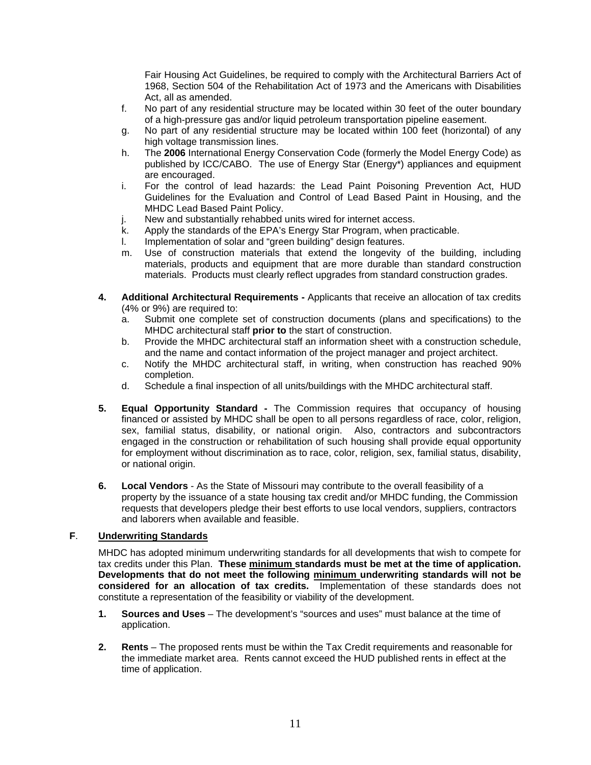Fair Housing Act Guidelines, be required to comply with the Architectural Barriers Act of 1968, Section 504 of the Rehabilitation Act of 1973 and the Americans with Disabilities Act, all as amended.

- f. No part of any residential structure may be located within 30 feet of the outer boundary of a high-pressure gas and/or liquid petroleum transportation pipeline easement.
- g. No part of any residential structure may be located within 100 feet (horizontal) of any high voltage transmission lines.
- h. The **2006** International Energy Conservation Code (formerly the Model Energy Code) as published by ICC/CABO. The use of Energy Star (Energy\*) appliances and equipment are encouraged.
- i. For the control of lead hazards: the Lead Paint Poisoning Prevention Act, HUD Guidelines for the Evaluation and Control of Lead Based Paint in Housing, and the MHDC Lead Based Paint Policy.
- j. New and substantially rehabbed units wired for internet access.
- k. Apply the standards of the EPA's Energy Star Program, when practicable.
- l. Implementation of solar and "green building" design features.
- m. Use of construction materials that extend the longevity of the building, including materials, products and equipment that are more durable than standard construction materials. Products must clearly reflect upgrades from standard construction grades.
- **4. Additional Architectural Requirements** Applicants that receive an allocation of tax credits (4% or 9%) are required to:
	- a. Submit one complete set of construction documents (plans and specifications) to the MHDC architectural staff **prior to** the start of construction.
	- b. Provide the MHDC architectural staff an information sheet with a construction schedule, and the name and contact information of the project manager and project architect.
	- c. Notify the MHDC architectural staff, in writing, when construction has reached 90% completion.
	- d. Schedule a final inspection of all units/buildings with the MHDC architectural staff.
- **5. Equal Opportunity Standard -** The Commission requires that occupancy of housing financed or assisted by MHDC shall be open to all persons regardless of race, color, religion, sex, familial status, disability, or national origin. Also, contractors and subcontractors engaged in the construction or rehabilitation of such housing shall provide equal opportunity for employment without discrimination as to race, color, religion, sex, familial status, disability, or national origin.
- **6. Local Vendors** As the State of Missouri may contribute to the overall feasibility of a property by the issuance of a state housing tax credit and/or MHDC funding, the Commission requests that developers pledge their best efforts to use local vendors, suppliers, contractors and laborers when available and feasible.

# **F**. **Underwriting Standards**

MHDC has adopted minimum underwriting standards for all developments that wish to compete for tax credits under this Plan. **These minimum standards must be met at the time of application. Developments that do not meet the following minimum underwriting standards will not be considered for an allocation of tax credits.** Implementation of these standards does not constitute a representation of the feasibility or viability of the development.

- **1. Sources and Uses** The development's "sources and uses" must balance at the time of application.
- **2. Rents** The proposed rents must be within the Tax Credit requirements and reasonable for the immediate market area. Rents cannot exceed the HUD published rents in effect at the time of application.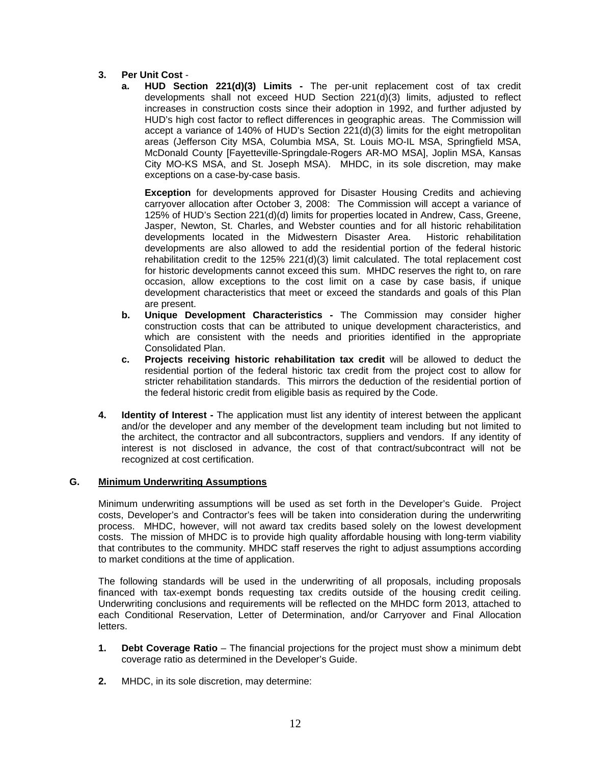# **3. Per Unit Cost** -

 **a. HUD Section 221(d)(3) Limits -** The per-unit replacement cost of tax credit developments shall not exceed HUD Section 221(d)(3) limits, adjusted to reflect increases in construction costs since their adoption in 1992, and further adjusted by HUD's high cost factor to reflect differences in geographic areas. The Commission will accept a variance of 140% of HUD's Section 221(d)(3) limits for the eight metropolitan areas (Jefferson City MSA, Columbia MSA, St. Louis MO-IL MSA, Springfield MSA, McDonald County [Fayetteville-Springdale-Rogers AR-MO MSA], Joplin MSA, Kansas City MO-KS MSA, and St. Joseph MSA). MHDC, in its sole discretion, may make exceptions on a case-by-case basis.

 **Exception** for developments approved for Disaster Housing Credits and achieving carryover allocation after October 3, 2008: The Commission will accept a variance of 125% of HUD's Section 221(d)(d) limits for properties located in Andrew, Cass, Greene, Jasper, Newton, St. Charles, and Webster counties and for all historic rehabilitation developments located in the Midwestern Disaster Area. Historic rehabilitation developments are also allowed to add the residential portion of the federal historic rehabilitation credit to the 125% 221(d)(3) limit calculated. The total replacement cost for historic developments cannot exceed this sum. MHDC reserves the right to, on rare occasion, allow exceptions to the cost limit on a case by case basis, if unique development characteristics that meet or exceed the standards and goals of this Plan are present.

- **b. Unique Development Characteristics -** The Commission may consider higher construction costs that can be attributed to unique development characteristics, and which are consistent with the needs and priorities identified in the appropriate Consolidated Plan.
- **c. Projects receiving historic rehabilitation tax credit** will be allowed to deduct the residential portion of the federal historic tax credit from the project cost to allow for stricter rehabilitation standards. This mirrors the deduction of the residential portion of the federal historic credit from eligible basis as required by the Code.
- **4. Identity of Interest -** The application must list any identity of interest between the applicant and/or the developer and any member of the development team including but not limited to the architect, the contractor and all subcontractors, suppliers and vendors. If any identity of interest is not disclosed in advance, the cost of that contract/subcontract will not be recognized at cost certification.

# **G. Minimum Underwriting Assumptions**

Minimum underwriting assumptions will be used as set forth in the Developer's Guide. Project costs, Developer's and Contractor's fees will be taken into consideration during the underwriting process. MHDC, however, will not award tax credits based solely on the lowest development costs. The mission of MHDC is to provide high quality affordable housing with long-term viability that contributes to the community. MHDC staff reserves the right to adjust assumptions according to market conditions at the time of application.

The following standards will be used in the underwriting of all proposals, including proposals financed with tax-exempt bonds requesting tax credits outside of the housing credit ceiling. Underwriting conclusions and requirements will be reflected on the MHDC form 2013, attached to each Conditional Reservation, Letter of Determination, and/or Carryover and Final Allocation letters.

- **1. Debt Coverage Ratio** The financial projections for the project must show a minimum debt coverage ratio as determined in the Developer's Guide.
- **2.** MHDC, in its sole discretion, may determine: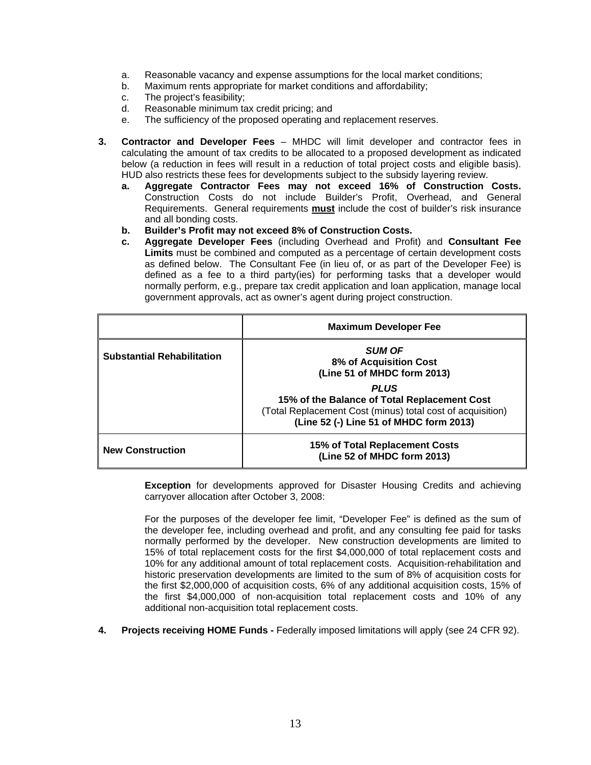- a. Reasonable vacancy and expense assumptions for the local market conditions;
- b. Maximum rents appropriate for market conditions and affordability;
- c. The project's feasibility;
- d. Reasonable minimum tax credit pricing; and
- e. The sufficiency of the proposed operating and replacement reserves.
- **3. Contractor and Developer Fees** MHDC will limit developer and contractor fees in calculating the amount of tax credits to be allocated to a proposed development as indicated below (a reduction in fees will result in a reduction of total project costs and eligible basis). HUD also restricts these fees for developments subject to the subsidy layering review.
	- **a. Aggregate Contractor Fees may not exceed 16% of Construction Costs.**  Construction Costs do not include Builder's Profit, Overhead, and General Requirements. General requirements **must** include the cost of builder's risk insurance and all bonding costs.
	- **b. Builder's Profit may not exceed 8% of Construction Costs.**
	- **c. Aggregate Developer Fees** (including Overhead and Profit) and **Consultant Fee Limits** must be combined and computed as a percentage of certain development costs as defined below. The Consultant Fee (in lieu of, or as part of the Developer Fee) is defined as a fee to a third party(ies) for performing tasks that a developer would normally perform, e.g., prepare tax credit application and loan application, manage local government approvals, act as owner's agent during project construction.

|                                   | <b>Maximum Developer Fee</b>                                                                                                                                         |
|-----------------------------------|----------------------------------------------------------------------------------------------------------------------------------------------------------------------|
| <b>Substantial Rehabilitation</b> | <b>SUM OF</b><br>8% of Acquisition Cost<br>(Line 51 of MHDC form 2013)                                                                                               |
|                                   | <b>PLUS</b><br>15% of the Balance of Total Replacement Cost<br>(Total Replacement Cost (minus) total cost of acquisition)<br>(Line 52 (-) Line 51 of MHDC form 2013) |
| <b>New Construction</b>           | 15% of Total Replacement Costs<br>(Line 52 of MHDC form 2013)                                                                                                        |

 **Exception** for developments approved for Disaster Housing Credits and achieving carryover allocation after October 3, 2008:

For the purposes of the developer fee limit, "Developer Fee" is defined as the sum of the developer fee, including overhead and profit, and any consulting fee paid for tasks normally performed by the developer. New construction developments are limited to 15% of total replacement costs for the first \$4,000,000 of total replacement costs and 10% for any additional amount of total replacement costs. Acquisition-rehabilitation and historic preservation developments are limited to the sum of 8% of acquisition costs for the first \$2,000,000 of acquisition costs, 6% of any additional acquisition costs, 15% of the first \$4,000,000 of non-acquisition total replacement costs and 10% of any additional non-acquisition total replacement costs.

**4. Projects receiving HOME Funds -** Federally imposed limitations will apply (see 24 CFR 92).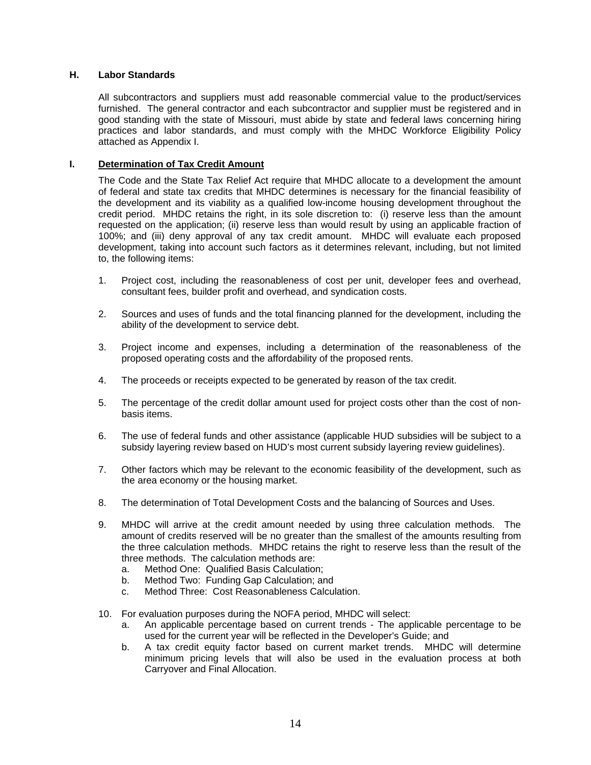#### **H. Labor Standards**

All subcontractors and suppliers must add reasonable commercial value to the product/services furnished. The general contractor and each subcontractor and supplier must be registered and in good standing with the state of Missouri, must abide by state and federal laws concerning hiring practices and labor standards, and must comply with the MHDC Workforce Eligibility Policy attached as Appendix I.

#### **I. Determination of Tax Credit Amount**

The Code and the State Tax Relief Act require that MHDC allocate to a development the amount of federal and state tax credits that MHDC determines is necessary for the financial feasibility of the development and its viability as a qualified low-income housing development throughout the credit period. MHDC retains the right, in its sole discretion to: (i) reserve less than the amount requested on the application; (ii) reserve less than would result by using an applicable fraction of 100%; and (iii) deny approval of any tax credit amount. MHDC will evaluate each proposed development, taking into account such factors as it determines relevant, including, but not limited to, the following items:

- 1. Project cost, including the reasonableness of cost per unit, developer fees and overhead, consultant fees, builder profit and overhead, and syndication costs.
- 2. Sources and uses of funds and the total financing planned for the development, including the ability of the development to service debt.
- 3. Project income and expenses, including a determination of the reasonableness of the proposed operating costs and the affordability of the proposed rents.
- 4. The proceeds or receipts expected to be generated by reason of the tax credit.
- 5. The percentage of the credit dollar amount used for project costs other than the cost of nonbasis items.
- 6. The use of federal funds and other assistance (applicable HUD subsidies will be subject to a subsidy layering review based on HUD's most current subsidy layering review guidelines).
- 7. Other factors which may be relevant to the economic feasibility of the development, such as the area economy or the housing market.
- 8. The determination of Total Development Costs and the balancing of Sources and Uses.
- 9. MHDC will arrive at the credit amount needed by using three calculation methods. The amount of credits reserved will be no greater than the smallest of the amounts resulting from the three calculation methods. MHDC retains the right to reserve less than the result of the three methods. The calculation methods are:
	- a. Method One: Qualified Basis Calculation;
	- b. Method Two: Funding Gap Calculation; and
	- c. Method Three: Cost Reasonableness Calculation.
- 10. For evaluation purposes during the NOFA period, MHDC will select:
	- a. An applicable percentage based on current trends The applicable percentage to be used for the current year will be reflected in the Developer's Guide; and
	- b. A tax credit equity factor based on current market trends. MHDC will determine minimum pricing levels that will also be used in the evaluation process at both Carryover and Final Allocation.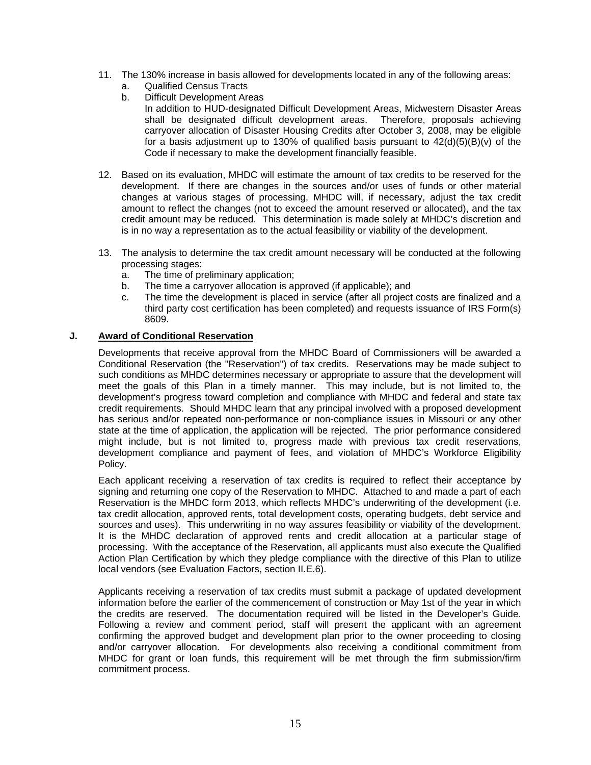- 11. The 130% increase in basis allowed for developments located in any of the following areas:
	- a. Qualified Census Tracts
	- b. Difficult Development Areas
		- In addition to HUD-designated Difficult Development Areas, Midwestern Disaster Areas shall be designated difficult development areas. Therefore, proposals achieving carryover allocation of Disaster Housing Credits after October 3, 2008, may be eligible for a basis adjustment up to 130% of qualified basis pursuant to  $42(d)(5)(B)(v)$  of the Code if necessary to make the development financially feasible.
- 12. Based on its evaluation, MHDC will estimate the amount of tax credits to be reserved for the development. If there are changes in the sources and/or uses of funds or other material changes at various stages of processing, MHDC will, if necessary, adjust the tax credit amount to reflect the changes (not to exceed the amount reserved or allocated), and the tax credit amount may be reduced. This determination is made solely at MHDC's discretion and is in no way a representation as to the actual feasibility or viability of the development.
- 13. The analysis to determine the tax credit amount necessary will be conducted at the following processing stages:
	- a. The time of preliminary application;
	- b. The time a carryover allocation is approved (if applicable); and
	- c. The time the development is placed in service (after all project costs are finalized and a third party cost certification has been completed) and requests issuance of IRS Form(s) 8609.

#### **J. Award of Conditional Reservation**

Developments that receive approval from the MHDC Board of Commissioners will be awarded a Conditional Reservation (the "Reservation") of tax credits. Reservations may be made subject to such conditions as MHDC determines necessary or appropriate to assure that the development will meet the goals of this Plan in a timely manner. This may include, but is not limited to, the development's progress toward completion and compliance with MHDC and federal and state tax credit requirements. Should MHDC learn that any principal involved with a proposed development has serious and/or repeated non-performance or non-compliance issues in Missouri or any other state at the time of application, the application will be rejected. The prior performance considered might include, but is not limited to, progress made with previous tax credit reservations, development compliance and payment of fees, and violation of MHDC's Workforce Eligibility Policy.

Each applicant receiving a reservation of tax credits is required to reflect their acceptance by signing and returning one copy of the Reservation to MHDC. Attached to and made a part of each Reservation is the MHDC form 2013, which reflects MHDC's underwriting of the development (i.e. tax credit allocation, approved rents, total development costs, operating budgets, debt service and sources and uses). This underwriting in no way assures feasibility or viability of the development. It is the MHDC declaration of approved rents and credit allocation at a particular stage of processing. With the acceptance of the Reservation, all applicants must also execute the Qualified Action Plan Certification by which they pledge compliance with the directive of this Plan to utilize local vendors (see Evaluation Factors, section II.E.6).

Applicants receiving a reservation of tax credits must submit a package of updated development information before the earlier of the commencement of construction or May 1st of the year in which the credits are reserved. The documentation required will be listed in the Developer's Guide. Following a review and comment period, staff will present the applicant with an agreement confirming the approved budget and development plan prior to the owner proceeding to closing and/or carryover allocation. For developments also receiving a conditional commitment from MHDC for grant or loan funds, this requirement will be met through the firm submission/firm commitment process.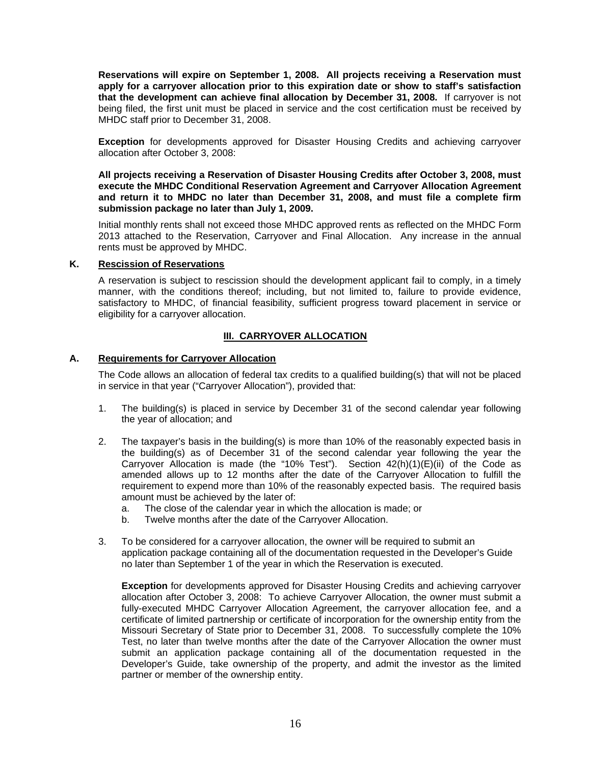**Reservations will expire on September 1, 2008. All projects receiving a Reservation must apply for a carryover allocation prior to this expiration date or show to staff's satisfaction that the development can achieve final allocation by December 31, 2008.** If carryover is not being filed, the first unit must be placed in service and the cost certification must be received by MHDC staff prior to December 31, 2008.

**Exception** for developments approved for Disaster Housing Credits and achieving carryover allocation after October 3, 2008:

**All projects receiving a Reservation of Disaster Housing Credits after October 3, 2008, must execute the MHDC Conditional Reservation Agreement and Carryover Allocation Agreement and return it to MHDC no later than December 31, 2008, and must file a complete firm submission package no later than July 1, 2009.** 

Initial monthly rents shall not exceed those MHDC approved rents as reflected on the MHDC Form 2013 attached to the Reservation, Carryover and Final Allocation. Any increase in the annual rents must be approved by MHDC.

#### **K. Rescission of Reservations**

A reservation is subject to rescission should the development applicant fail to comply, in a timely manner, with the conditions thereof; including, but not limited to, failure to provide evidence, satisfactory to MHDC, of financial feasibility, sufficient progress toward placement in service or eligibility for a carryover allocation.

## **III. CARRYOVER ALLOCATION**

#### **A. Requirements for Carryover Allocation**

The Code allows an allocation of federal tax credits to a qualified building(s) that will not be placed in service in that year ("Carryover Allocation"), provided that:

- 1. The building(s) is placed in service by December 31 of the second calendar year following the year of allocation; and
- 2. The taxpayer's basis in the building(s) is more than 10% of the reasonably expected basis in the building(s) as of December 31 of the second calendar year following the year the Carryover Allocation is made (the "10% Test"). Section 42(h)(1)(E)(ii) of the Code as amended allows up to 12 months after the date of the Carryover Allocation to fulfill the requirement to expend more than 10% of the reasonably expected basis. The required basis amount must be achieved by the later of:
	- a. The close of the calendar year in which the allocation is made; or
	- b. Twelve months after the date of the Carryover Allocation.
- 3. To be considered for a carryover allocation, the owner will be required to submit an application package containing all of the documentation requested in the Developer's Guide no later than September 1 of the year in which the Reservation is executed.

**Exception** for developments approved for Disaster Housing Credits and achieving carryover allocation after October 3, 2008: To achieve Carryover Allocation, the owner must submit a fully-executed MHDC Carryover Allocation Agreement, the carryover allocation fee, and a certificate of limited partnership or certificate of incorporation for the ownership entity from the Missouri Secretary of State prior to December 31, 2008. To successfully complete the 10% Test, no later than twelve months after the date of the Carryover Allocation the owner must submit an application package containing all of the documentation requested in the Developer's Guide, take ownership of the property, and admit the investor as the limited partner or member of the ownership entity.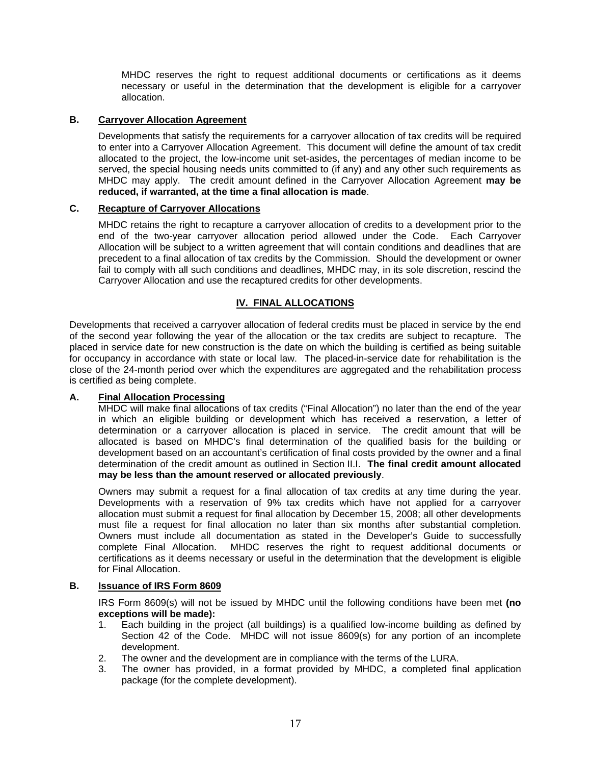MHDC reserves the right to request additional documents or certifications as it deems necessary or useful in the determination that the development is eligible for a carryover allocation.

## **B. Carryover Allocation Agreement**

Developments that satisfy the requirements for a carryover allocation of tax credits will be required to enter into a Carryover Allocation Agreement. This document will define the amount of tax credit allocated to the project, the low-income unit set-asides, the percentages of median income to be served, the special housing needs units committed to (if any) and any other such requirements as MHDC may apply. The credit amount defined in the Carryover Allocation Agreement **may be reduced, if warranted, at the time a final allocation is made**.

## **C. Recapture of Carryover Allocations**

MHDC retains the right to recapture a carryover allocation of credits to a development prior to the end of the two-year carryover allocation period allowed under the Code. Each Carryover Allocation will be subject to a written agreement that will contain conditions and deadlines that are precedent to a final allocation of tax credits by the Commission. Should the development or owner fail to comply with all such conditions and deadlines, MHDC may, in its sole discretion, rescind the Carryover Allocation and use the recaptured credits for other developments.

## **IV. FINAL ALLOCATIONS**

Developments that received a carryover allocation of federal credits must be placed in service by the end of the second year following the year of the allocation or the tax credits are subject to recapture. The placed in service date for new construction is the date on which the building is certified as being suitable for occupancy in accordance with state or local law. The placed-in-service date for rehabilitation is the close of the 24-month period over which the expenditures are aggregated and the rehabilitation process is certified as being complete.

#### **A. Final Allocation Processing**

MHDC will make final allocations of tax credits ("Final Allocation") no later than the end of the year in which an eligible building or development which has received a reservation, a letter of determination or a carryover allocation is placed in service. The credit amount that will be allocated is based on MHDC's final determination of the qualified basis for the building or development based on an accountant's certification of final costs provided by the owner and a final determination of the credit amount as outlined in Section II.I. **The final credit amount allocated may be less than the amount reserved or allocated previously**.

Owners may submit a request for a final allocation of tax credits at any time during the year. Developments with a reservation of 9% tax credits which have not applied for a carryover allocation must submit a request for final allocation by December 15, 2008; all other developments must file a request for final allocation no later than six months after substantial completion. Owners must include all documentation as stated in the Developer's Guide to successfully complete Final Allocation. MHDC reserves the right to request additional documents or certifications as it deems necessary or useful in the determination that the development is eligible for Final Allocation.

#### **B. Issuance of IRS Form 8609**

IRS Form 8609(s) will not be issued by MHDC until the following conditions have been met **(no exceptions will be made):** 

- 1. Each building in the project (all buildings) is a qualified low-income building as defined by Section 42 of the Code. MHDC will not issue 8609(s) for any portion of an incomplete development.
- 2. The owner and the development are in compliance with the terms of the LURA.
- 3. The owner has provided, in a format provided by MHDC, a completed final application package (for the complete development).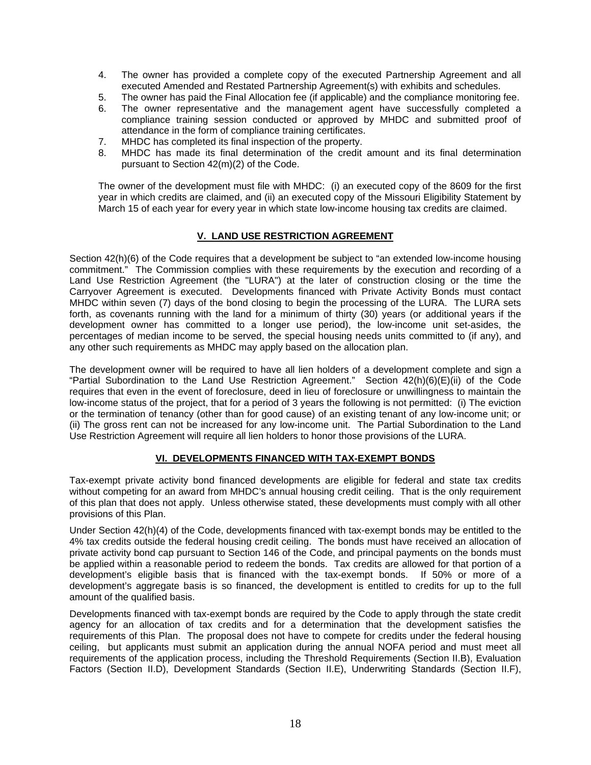- 4. The owner has provided a complete copy of the executed Partnership Agreement and all executed Amended and Restated Partnership Agreement(s) with exhibits and schedules.
- 5. The owner has paid the Final Allocation fee (if applicable) and the compliance monitoring fee.
- 6. The owner representative and the management agent have successfully completed a compliance training session conducted or approved by MHDC and submitted proof of attendance in the form of compliance training certificates.
- 7. MHDC has completed its final inspection of the property.
- 8. MHDC has made its final determination of the credit amount and its final determination pursuant to Section 42(m)(2) of the Code.

The owner of the development must file with MHDC: (i) an executed copy of the 8609 for the first year in which credits are claimed, and (ii) an executed copy of the Missouri Eligibility Statement by March 15 of each year for every year in which state low-income housing tax credits are claimed.

# **V. LAND USE RESTRICTION AGREEMENT**

Section 42(h)(6) of the Code requires that a development be subject to "an extended low-income housing commitment." The Commission complies with these requirements by the execution and recording of a Land Use Restriction Agreement (the "LURA") at the later of construction closing or the time the Carryover Agreement is executed. Developments financed with Private Activity Bonds must contact MHDC within seven (7) days of the bond closing to begin the processing of the LURA. The LURA sets forth, as covenants running with the land for a minimum of thirty (30) years (or additional years if the development owner has committed to a longer use period), the low-income unit set-asides, the percentages of median income to be served, the special housing needs units committed to (if any), and any other such requirements as MHDC may apply based on the allocation plan.

The development owner will be required to have all lien holders of a development complete and sign a "Partial Subordination to the Land Use Restriction Agreement." Section 42(h)(6)(E)(ii) of the Code requires that even in the event of foreclosure, deed in lieu of foreclosure or unwillingness to maintain the low-income status of the project, that for a period of 3 years the following is not permitted: (i) The eviction or the termination of tenancy (other than for good cause) of an existing tenant of any low-income unit; or (ii) The gross rent can not be increased for any low-income unit. The Partial Subordination to the Land Use Restriction Agreement will require all lien holders to honor those provisions of the LURA.

# **VI. DEVELOPMENTS FINANCED WITH TAX-EXEMPT BONDS**

Tax-exempt private activity bond financed developments are eligible for federal and state tax credits without competing for an award from MHDC's annual housing credit ceiling. That is the only requirement of this plan that does not apply. Unless otherwise stated, these developments must comply with all other provisions of this Plan.

Under Section 42(h)(4) of the Code, developments financed with tax-exempt bonds may be entitled to the 4% tax credits outside the federal housing credit ceiling. The bonds must have received an allocation of private activity bond cap pursuant to Section 146 of the Code, and principal payments on the bonds must be applied within a reasonable period to redeem the bonds. Tax credits are allowed for that portion of a development's eligible basis that is financed with the tax-exempt bonds. If 50% or more of a development's aggregate basis is so financed, the development is entitled to credits for up to the full amount of the qualified basis.

Developments financed with tax-exempt bonds are required by the Code to apply through the state credit agency for an allocation of tax credits and for a determination that the development satisfies the requirements of this Plan. The proposal does not have to compete for credits under the federal housing ceiling, but applicants must submit an application during the annual NOFA period and must meet all requirements of the application process, including the Threshold Requirements (Section II.B), Evaluation Factors (Section II.D), Development Standards (Section II.E), Underwriting Standards (Section II.F),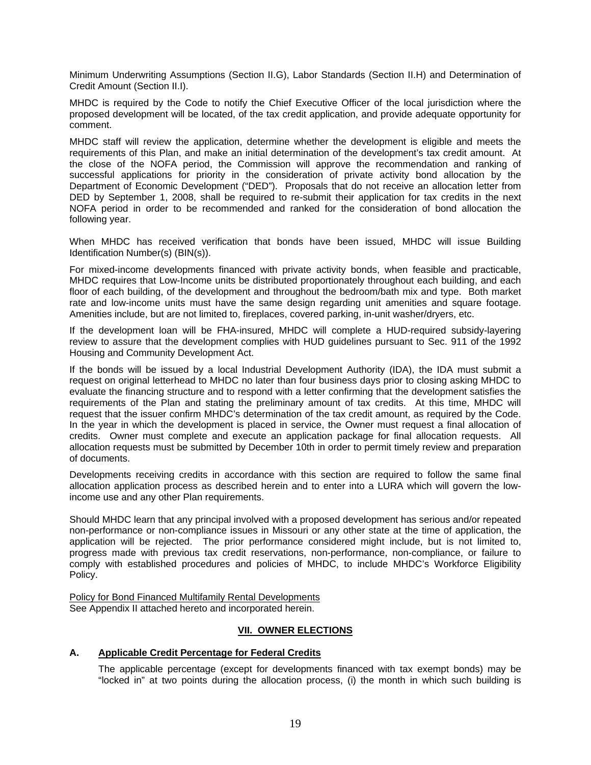Minimum Underwriting Assumptions (Section II.G), Labor Standards (Section II.H) and Determination of Credit Amount (Section II.I).

MHDC is required by the Code to notify the Chief Executive Officer of the local jurisdiction where the proposed development will be located, of the tax credit application, and provide adequate opportunity for comment.

MHDC staff will review the application, determine whether the development is eligible and meets the requirements of this Plan, and make an initial determination of the development's tax credit amount. At the close of the NOFA period, the Commission will approve the recommendation and ranking of successful applications for priority in the consideration of private activity bond allocation by the Department of Economic Development ("DED"). Proposals that do not receive an allocation letter from DED by September 1, 2008, shall be required to re-submit their application for tax credits in the next NOFA period in order to be recommended and ranked for the consideration of bond allocation the following year.

When MHDC has received verification that bonds have been issued, MHDC will issue Building Identification Number(s) (BIN(s)).

For mixed-income developments financed with private activity bonds, when feasible and practicable, MHDC requires that Low-Income units be distributed proportionately throughout each building, and each floor of each building, of the development and throughout the bedroom/bath mix and type. Both market rate and low-income units must have the same design regarding unit amenities and square footage. Amenities include, but are not limited to, fireplaces, covered parking, in-unit washer/dryers, etc.

If the development loan will be FHA-insured, MHDC will complete a HUD-required subsidy-layering review to assure that the development complies with HUD guidelines pursuant to Sec. 911 of the 1992 Housing and Community Development Act.

If the bonds will be issued by a local Industrial Development Authority (IDA), the IDA must submit a request on original letterhead to MHDC no later than four business days prior to closing asking MHDC to evaluate the financing structure and to respond with a letter confirming that the development satisfies the requirements of the Plan and stating the preliminary amount of tax credits. At this time, MHDC will request that the issuer confirm MHDC's determination of the tax credit amount, as required by the Code. In the year in which the development is placed in service, the Owner must request a final allocation of credits. Owner must complete and execute an application package for final allocation requests. All allocation requests must be submitted by December 10th in order to permit timely review and preparation of documents.

Developments receiving credits in accordance with this section are required to follow the same final allocation application process as described herein and to enter into a LURA which will govern the lowincome use and any other Plan requirements.

Should MHDC learn that any principal involved with a proposed development has serious and/or repeated non-performance or non-compliance issues in Missouri or any other state at the time of application, the application will be rejected. The prior performance considered might include, but is not limited to, progress made with previous tax credit reservations, non-performance, non-compliance, or failure to comply with established procedures and policies of MHDC, to include MHDC's Workforce Eligibility Policy.

Policy for Bond Financed Multifamily Rental Developments See Appendix II attached hereto and incorporated herein.

# **VII. OWNER ELECTIONS**

#### **A. Applicable Credit Percentage for Federal Credits**

The applicable percentage (except for developments financed with tax exempt bonds) may be "locked in" at two points during the allocation process, (i) the month in which such building is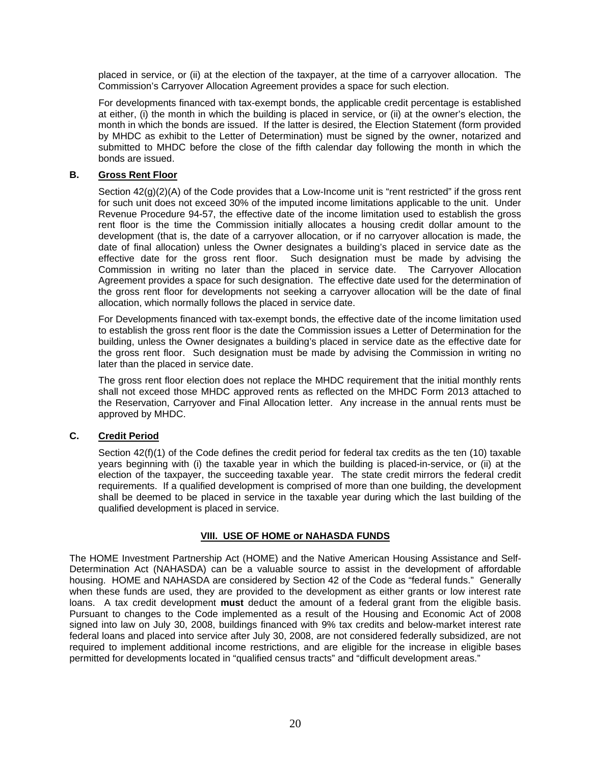placed in service, or (ii) at the election of the taxpayer, at the time of a carryover allocation. The Commission's Carryover Allocation Agreement provides a space for such election.

For developments financed with tax-exempt bonds, the applicable credit percentage is established at either, (i) the month in which the building is placed in service, or (ii) at the owner's election, the month in which the bonds are issued. If the latter is desired, the Election Statement (form provided by MHDC as exhibit to the Letter of Determination) must be signed by the owner, notarized and submitted to MHDC before the close of the fifth calendar day following the month in which the bonds are issued.

## **B. Gross Rent Floor**

Section  $42(g)(2)(A)$  of the Code provides that a Low-Income unit is "rent restricted" if the gross rent for such unit does not exceed 30% of the imputed income limitations applicable to the unit. Under Revenue Procedure 94-57, the effective date of the income limitation used to establish the gross rent floor is the time the Commission initially allocates a housing credit dollar amount to the development (that is, the date of a carryover allocation, or if no carryover allocation is made, the date of final allocation) unless the Owner designates a building's placed in service date as the effective date for the gross rent floor. Such designation must be made by advising the Commission in writing no later than the placed in service date. The Carryover Allocation Agreement provides a space for such designation. The effective date used for the determination of the gross rent floor for developments not seeking a carryover allocation will be the date of final allocation, which normally follows the placed in service date.

For Developments financed with tax-exempt bonds, the effective date of the income limitation used to establish the gross rent floor is the date the Commission issues a Letter of Determination for the building, unless the Owner designates a building's placed in service date as the effective date for the gross rent floor. Such designation must be made by advising the Commission in writing no later than the placed in service date.

The gross rent floor election does not replace the MHDC requirement that the initial monthly rents shall not exceed those MHDC approved rents as reflected on the MHDC Form 2013 attached to the Reservation, Carryover and Final Allocation letter. Any increase in the annual rents must be approved by MHDC.

# **C. Credit Period**

Section  $42(f)(1)$  of the Code defines the credit period for federal tax credits as the ten (10) taxable years beginning with (i) the taxable year in which the building is placed-in-service, or (ii) at the election of the taxpayer, the succeeding taxable year. The state credit mirrors the federal credit requirements. If a qualified development is comprised of more than one building, the development shall be deemed to be placed in service in the taxable year during which the last building of the qualified development is placed in service.

# **VIII. USE OF HOME or NAHASDA FUNDS**

The HOME Investment Partnership Act (HOME) and the Native American Housing Assistance and Self-Determination Act (NAHASDA) can be a valuable source to assist in the development of affordable housing. HOME and NAHASDA are considered by Section 42 of the Code as "federal funds." Generally when these funds are used, they are provided to the development as either grants or low interest rate loans. A tax credit development **must** deduct the amount of a federal grant from the eligible basis. Pursuant to changes to the Code implemented as a result of the Housing and Economic Act of 2008 signed into law on July 30, 2008, buildings financed with 9% tax credits and below-market interest rate federal loans and placed into service after July 30, 2008, are not considered federally subsidized, are not required to implement additional income restrictions, and are eligible for the increase in eligible bases permitted for developments located in "qualified census tracts" and "difficult development areas."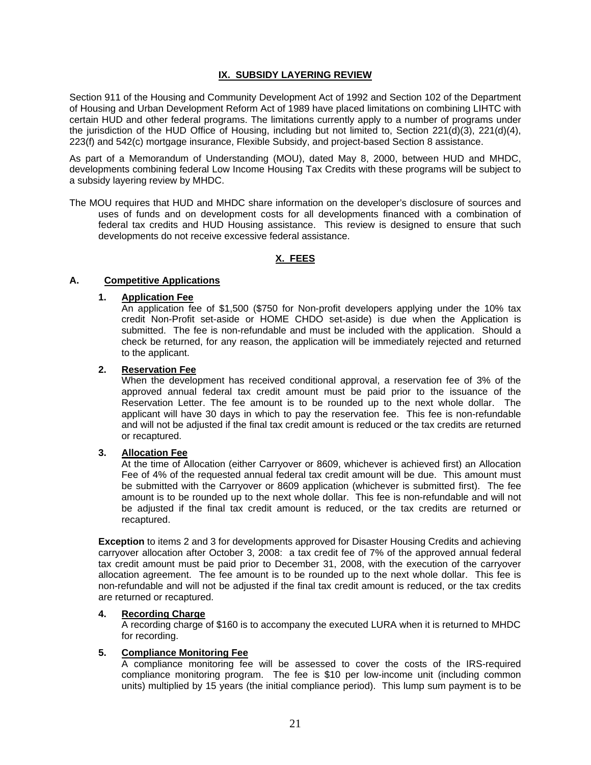## **IX. SUBSIDY LAYERING REVIEW**

Section 911 of the Housing and Community Development Act of 1992 and Section 102 of the Department of Housing and Urban Development Reform Act of 1989 have placed limitations on combining LIHTC with certain HUD and other federal programs. The limitations currently apply to a number of programs under the jurisdiction of the HUD Office of Housing, including but not limited to, Section 221(d)(3), 221(d)(4), 223(f) and 542(c) mortgage insurance, Flexible Subsidy, and project-based Section 8 assistance.

As part of a Memorandum of Understanding (MOU), dated May 8, 2000, between HUD and MHDC, developments combining federal Low Income Housing Tax Credits with these programs will be subject to a subsidy layering review by MHDC.

The MOU requires that HUD and MHDC share information on the developer's disclosure of sources and uses of funds and on development costs for all developments financed with a combination of federal tax credits and HUD Housing assistance. This review is designed to ensure that such developments do not receive excessive federal assistance.

# **X. FEES**

## **A. Competitive Applications**

## **1. Application Fee**

 An application fee of \$1,500 (\$750 for Non-profit developers applying under the 10% tax credit Non-Profit set-aside or HOME CHDO set-aside) is due when the Application is submitted. The fee is non-refundable and must be included with the application. Should a check be returned, for any reason, the application will be immediately rejected and returned to the applicant.

#### **2. Reservation Fee**

 When the development has received conditional approval, a reservation fee of 3% of the approved annual federal tax credit amount must be paid prior to the issuance of the Reservation Letter. The fee amount is to be rounded up to the next whole dollar. The applicant will have 30 days in which to pay the reservation fee. This fee is non-refundable and will not be adjusted if the final tax credit amount is reduced or the tax credits are returned or recaptured.

#### **3. Allocation Fee**

 At the time of Allocation (either Carryover or 8609, whichever is achieved first) an Allocation Fee of 4% of the requested annual federal tax credit amount will be due. This amount must be submitted with the Carryover or 8609 application (whichever is submitted first). The fee amount is to be rounded up to the next whole dollar. This fee is non-refundable and will not be adjusted if the final tax credit amount is reduced, or the tax credits are returned or recaptured.

**Exception** to items 2 and 3 for developments approved for Disaster Housing Credits and achieving carryover allocation after October 3, 2008: a tax credit fee of 7% of the approved annual federal tax credit amount must be paid prior to December 31, 2008, with the execution of the carryover allocation agreement. The fee amount is to be rounded up to the next whole dollar. This fee is non-refundable and will not be adjusted if the final tax credit amount is reduced, or the tax credits are returned or recaptured.

#### **4. Recording Charge**

 A recording charge of \$160 is to accompany the executed LURA when it is returned to MHDC for recording.

#### **5. Compliance Monitoring Fee**

 A compliance monitoring fee will be assessed to cover the costs of the IRS-required compliance monitoring program. The fee is \$10 per low-income unit (including common units) multiplied by 15 years (the initial compliance period). This lump sum payment is to be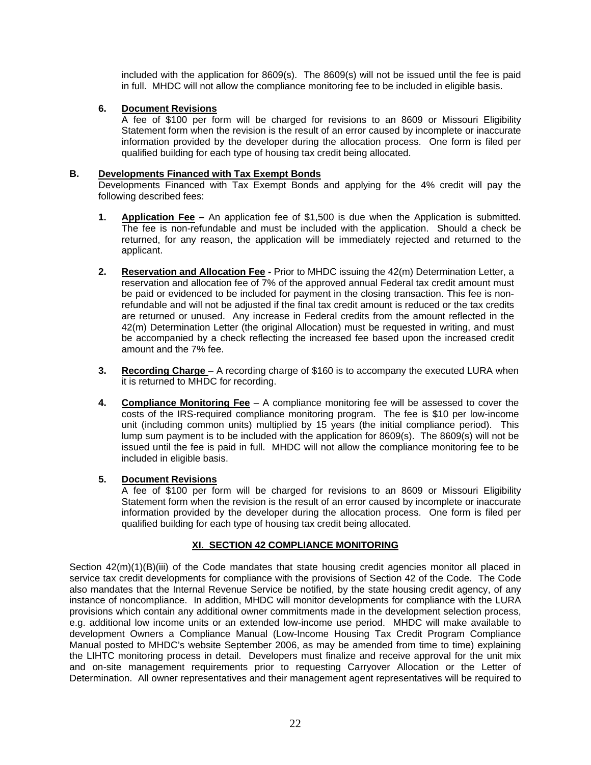included with the application for 8609(s). The 8609(s) will not be issued until the fee is paid in full. MHDC will not allow the compliance monitoring fee to be included in eligible basis.

# **6. Document Revisions**

 A fee of \$100 per form will be charged for revisions to an 8609 or Missouri Eligibility Statement form when the revision is the result of an error caused by incomplete or inaccurate information provided by the developer during the allocation process. One form is filed per qualified building for each type of housing tax credit being allocated.

# **B. Developments Financed with Tax Exempt Bonds**

Developments Financed with Tax Exempt Bonds and applying for the 4% credit will pay the following described fees:

- **1. Application Fee** An application fee of \$1,500 is due when the Application is submitted. The fee is non-refundable and must be included with the application. Should a check be returned, for any reason, the application will be immediately rejected and returned to the applicant.
- **2. Reservation and Allocation Fee** Prior to MHDC issuing the 42(m) Determination Letter, a reservation and allocation fee of 7% of the approved annual Federal tax credit amount must be paid or evidenced to be included for payment in the closing transaction. This fee is nonrefundable and will not be adjusted if the final tax credit amount is reduced or the tax credits are returned or unused. Any increase in Federal credits from the amount reflected in the 42(m) Determination Letter (the original Allocation) must be requested in writing, and must be accompanied by a check reflecting the increased fee based upon the increased credit amount and the 7% fee.
- **3. Recording Charge** A recording charge of \$160 is to accompany the executed LURA when it is returned to MHDC for recording.
- **4. Compliance Monitoring Fee** A compliance monitoring fee will be assessed to cover the costs of the IRS-required compliance monitoring program. The fee is \$10 per low-income unit (including common units) multiplied by 15 years (the initial compliance period). This lump sum payment is to be included with the application for 8609(s). The 8609(s) will not be issued until the fee is paid in full. MHDC will not allow the compliance monitoring fee to be included in eligible basis.

# **5. Document Revisions**

 A fee of \$100 per form will be charged for revisions to an 8609 or Missouri Eligibility Statement form when the revision is the result of an error caused by incomplete or inaccurate information provided by the developer during the allocation process. One form is filed per qualified building for each type of housing tax credit being allocated.

# **XI. SECTION 42 COMPLIANCE MONITORING**

Section  $42(m)(1)(B)(iii)$  of the Code mandates that state housing credit agencies monitor all placed in service tax credit developments for compliance with the provisions of Section 42 of the Code. The Code also mandates that the Internal Revenue Service be notified, by the state housing credit agency, of any instance of noncompliance. In addition, MHDC will monitor developments for compliance with the LURA provisions which contain any additional owner commitments made in the development selection process, e.g. additional low income units or an extended low-income use period. MHDC will make available to development Owners a Compliance Manual (Low-Income Housing Tax Credit Program Compliance Manual posted to MHDC's website September 2006, as may be amended from time to time) explaining the LIHTC monitoring process in detail. Developers must finalize and receive approval for the unit mix and on-site management requirements prior to requesting Carryover Allocation or the Letter of Determination. All owner representatives and their management agent representatives will be required to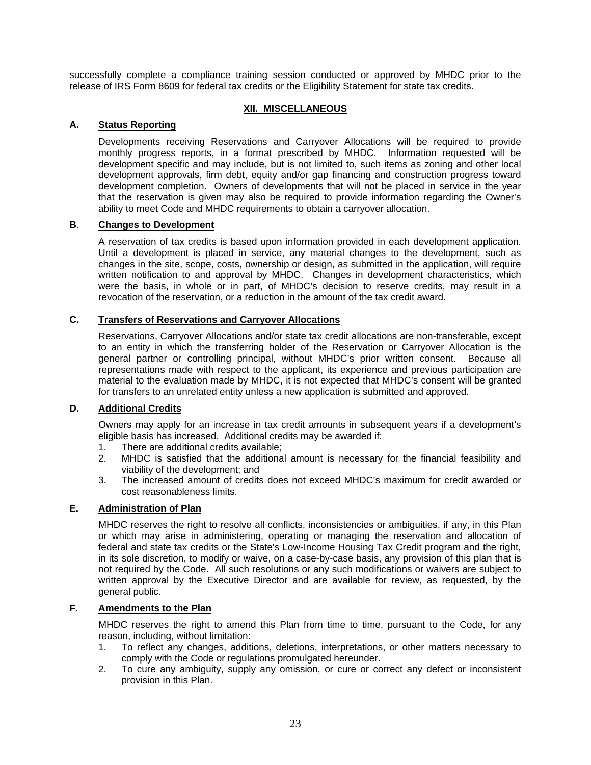successfully complete a compliance training session conducted or approved by MHDC prior to the release of IRS Form 8609 for federal tax credits or the Eligibility Statement for state tax credits.

## **XII. MISCELLANEOUS**

## **A. Status Reporting**

Developments receiving Reservations and Carryover Allocations will be required to provide monthly progress reports, in a format prescribed by MHDC. Information requested will be development specific and may include, but is not limited to, such items as zoning and other local development approvals, firm debt, equity and/or gap financing and construction progress toward development completion. Owners of developments that will not be placed in service in the year that the reservation is given may also be required to provide information regarding the Owner's ability to meet Code and MHDC requirements to obtain a carryover allocation.

#### **B**. **Changes to Development**

A reservation of tax credits is based upon information provided in each development application. Until a development is placed in service, any material changes to the development, such as changes in the site, scope, costs, ownership or design, as submitted in the application, will require written notification to and approval by MHDC. Changes in development characteristics, which were the basis, in whole or in part, of MHDC's decision to reserve credits, may result in a revocation of the reservation, or a reduction in the amount of the tax credit award.

# **C. Transfers of Reservations and Carryover Allocations**

Reservations, Carryover Allocations and/or state tax credit allocations are non-transferable, except to an entity in which the transferring holder of the Reservation or Carryover Allocation is the general partner or controlling principal, without MHDC's prior written consent. Because all representations made with respect to the applicant, its experience and previous participation are material to the evaluation made by MHDC, it is not expected that MHDC's consent will be granted for transfers to an unrelated entity unless a new application is submitted and approved.

### **D. Additional Credits**

Owners may apply for an increase in tax credit amounts in subsequent years if a development's eligible basis has increased. Additional credits may be awarded if:

- 1. There are additional credits available;
- 2. MHDC is satisfied that the additional amount is necessary for the financial feasibility and viability of the development; and
- 3. The increased amount of credits does not exceed MHDC's maximum for credit awarded or cost reasonableness limits.

## **E. Administration of Plan**

MHDC reserves the right to resolve all conflicts, inconsistencies or ambiguities, if any, in this Plan or which may arise in administering, operating or managing the reservation and allocation of federal and state tax credits or the State's Low-Income Housing Tax Credit program and the right, in its sole discretion, to modify or waive, on a case-by-case basis, any provision of this plan that is not required by the Code. All such resolutions or any such modifications or waivers are subject to written approval by the Executive Director and are available for review, as requested, by the general public.

#### **F. Amendments to the Plan**

MHDC reserves the right to amend this Plan from time to time, pursuant to the Code, for any reason, including, without limitation:

- 1. To reflect any changes, additions, deletions, interpretations, or other matters necessary to comply with the Code or regulations promulgated hereunder.
- 2. To cure any ambiguity, supply any omission, or cure or correct any defect or inconsistent provision in this Plan.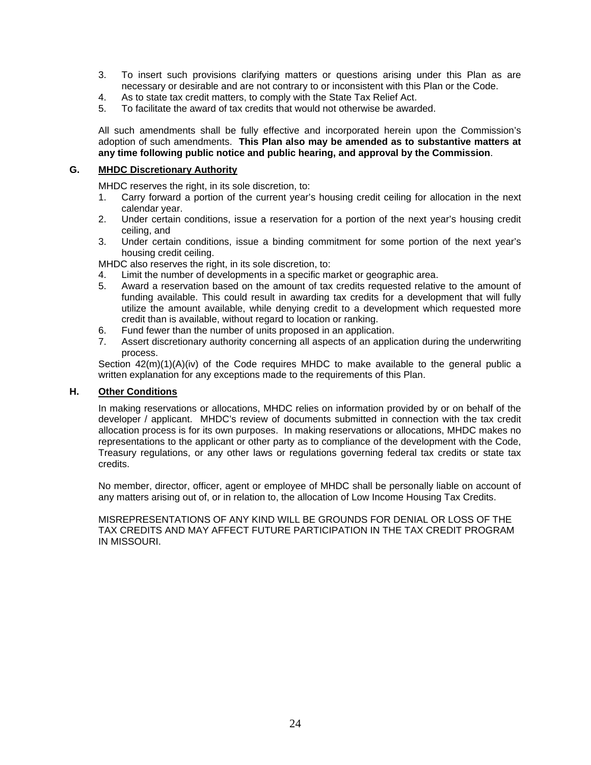- 3. To insert such provisions clarifying matters or questions arising under this Plan as are necessary or desirable and are not contrary to or inconsistent with this Plan or the Code.
- 4. As to state tax credit matters, to comply with the State Tax Relief Act.
- 5. To facilitate the award of tax credits that would not otherwise be awarded.

All such amendments shall be fully effective and incorporated herein upon the Commission's adoption of such amendments. **This Plan also may be amended as to substantive matters at any time following public notice and public hearing, and approval by the Commission**.

## **G. MHDC Discretionary Authority**

MHDC reserves the right, in its sole discretion, to:

- 1. Carry forward a portion of the current year's housing credit ceiling for allocation in the next calendar year.
- 2. Under certain conditions, issue a reservation for a portion of the next year's housing credit ceiling, and
- 3. Under certain conditions, issue a binding commitment for some portion of the next year's housing credit ceiling.

MHDC also reserves the right, in its sole discretion, to:

- 4. Limit the number of developments in a specific market or geographic area.
- 5. Award a reservation based on the amount of tax credits requested relative to the amount of funding available. This could result in awarding tax credits for a development that will fully utilize the amount available, while denying credit to a development which requested more credit than is available, without regard to location or ranking.
- 6. Fund fewer than the number of units proposed in an application.
- 7. Assert discretionary authority concerning all aspects of an application during the underwriting process.

Section  $42(m)(1)(A)(iv)$  of the Code requires MHDC to make available to the general public a written explanation for any exceptions made to the requirements of this Plan.

#### **H. Other Conditions**

In making reservations or allocations, MHDC relies on information provided by or on behalf of the developer / applicant. MHDC's review of documents submitted in connection with the tax credit allocation process is for its own purposes. In making reservations or allocations, MHDC makes no representations to the applicant or other party as to compliance of the development with the Code, Treasury regulations, or any other laws or regulations governing federal tax credits or state tax credits.

No member, director, officer, agent or employee of MHDC shall be personally liable on account of any matters arising out of, or in relation to, the allocation of Low Income Housing Tax Credits.

MISREPRESENTATIONS OF ANY KIND WILL BE GROUNDS FOR DENIAL OR LOSS OF THE TAX CREDITS AND MAY AFFECT FUTURE PARTICIPATION IN THE TAX CREDIT PROGRAM IN MISSOURI.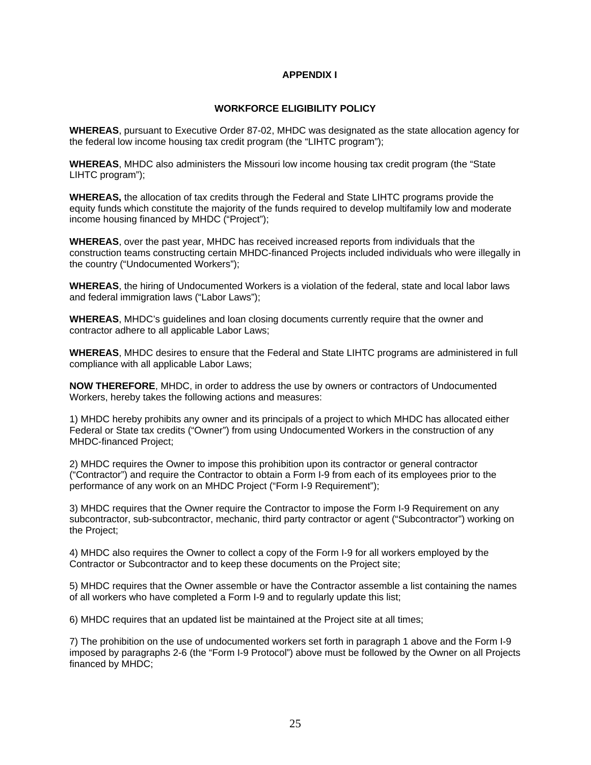# **APPENDIX I**

#### **WORKFORCE ELIGIBILITY POLICY**

**WHEREAS**, pursuant to Executive Order 87-02, MHDC was designated as the state allocation agency for the federal low income housing tax credit program (the "LIHTC program");

**WHEREAS**, MHDC also administers the Missouri low income housing tax credit program (the "State LIHTC program");

**WHEREAS,** the allocation of tax credits through the Federal and State LIHTC programs provide the equity funds which constitute the majority of the funds required to develop multifamily low and moderate income housing financed by MHDC ("Project");

**WHEREAS**, over the past year, MHDC has received increased reports from individuals that the construction teams constructing certain MHDC-financed Projects included individuals who were illegally in the country ("Undocumented Workers");

**WHEREAS**, the hiring of Undocumented Workers is a violation of the federal, state and local labor laws and federal immigration laws ("Labor Laws");

**WHEREAS**, MHDC's guidelines and loan closing documents currently require that the owner and contractor adhere to all applicable Labor Laws;

**WHEREAS**, MHDC desires to ensure that the Federal and State LIHTC programs are administered in full compliance with all applicable Labor Laws;

**NOW THEREFORE**, MHDC, in order to address the use by owners or contractors of Undocumented Workers, hereby takes the following actions and measures:

1) MHDC hereby prohibits any owner and its principals of a project to which MHDC has allocated either Federal or State tax credits ("Owner") from using Undocumented Workers in the construction of any MHDC-financed Project;

2) MHDC requires the Owner to impose this prohibition upon its contractor or general contractor ("Contractor") and require the Contractor to obtain a Form I-9 from each of its employees prior to the performance of any work on an MHDC Project ("Form I-9 Requirement");

3) MHDC requires that the Owner require the Contractor to impose the Form I-9 Requirement on any subcontractor, sub-subcontractor, mechanic, third party contractor or agent ("Subcontractor") working on the Project;

4) MHDC also requires the Owner to collect a copy of the Form I-9 for all workers employed by the Contractor or Subcontractor and to keep these documents on the Project site;

5) MHDC requires that the Owner assemble or have the Contractor assemble a list containing the names of all workers who have completed a Form I-9 and to regularly update this list;

6) MHDC requires that an updated list be maintained at the Project site at all times;

7) The prohibition on the use of undocumented workers set forth in paragraph 1 above and the Form I-9 imposed by paragraphs 2-6 (the "Form I-9 Protocol") above must be followed by the Owner on all Projects financed by MHDC;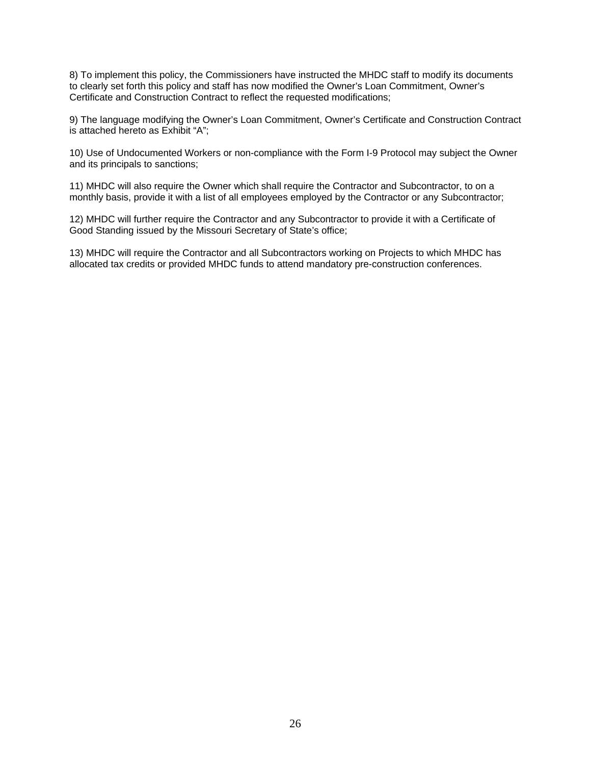8) To implement this policy, the Commissioners have instructed the MHDC staff to modify its documents to clearly set forth this policy and staff has now modified the Owner's Loan Commitment, Owner's Certificate and Construction Contract to reflect the requested modifications;

9) The language modifying the Owner's Loan Commitment, Owner's Certificate and Construction Contract is attached hereto as Exhibit "A";

10) Use of Undocumented Workers or non-compliance with the Form I-9 Protocol may subject the Owner and its principals to sanctions;

11) MHDC will also require the Owner which shall require the Contractor and Subcontractor, to on a monthly basis, provide it with a list of all employees employed by the Contractor or any Subcontractor;

12) MHDC will further require the Contractor and any Subcontractor to provide it with a Certificate of Good Standing issued by the Missouri Secretary of State's office;

13) MHDC will require the Contractor and all Subcontractors working on Projects to which MHDC has allocated tax credits or provided MHDC funds to attend mandatory pre-construction conferences.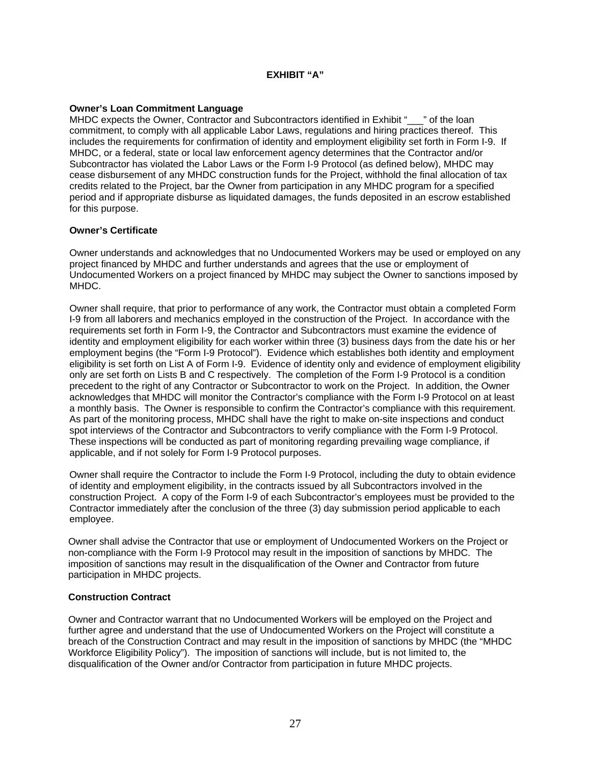# **EXHIBIT "A"**

## **Owner's Loan Commitment Language**

MHDC expects the Owner, Contractor and Subcontractors identified in Exhibit " \_\_" of the loan commitment, to comply with all applicable Labor Laws, regulations and hiring practices thereof. This includes the requirements for confirmation of identity and employment eligibility set forth in Form I-9. If MHDC, or a federal, state or local law enforcement agency determines that the Contractor and/or Subcontractor has violated the Labor Laws or the Form I-9 Protocol (as defined below), MHDC may cease disbursement of any MHDC construction funds for the Project, withhold the final allocation of tax credits related to the Project, bar the Owner from participation in any MHDC program for a specified period and if appropriate disburse as liquidated damages, the funds deposited in an escrow established for this purpose.

## **Owner's Certificate**

Owner understands and acknowledges that no Undocumented Workers may be used or employed on any project financed by MHDC and further understands and agrees that the use or employment of Undocumented Workers on a project financed by MHDC may subject the Owner to sanctions imposed by MHDC.

Owner shall require, that prior to performance of any work, the Contractor must obtain a completed Form I-9 from all laborers and mechanics employed in the construction of the Project. In accordance with the requirements set forth in Form I-9, the Contractor and Subcontractors must examine the evidence of identity and employment eligibility for each worker within three (3) business days from the date his or her employment begins (the "Form I-9 Protocol"). Evidence which establishes both identity and employment eligibility is set forth on List A of Form I-9. Evidence of identity only and evidence of employment eligibility only are set forth on Lists B and C respectively. The completion of the Form I-9 Protocol is a condition precedent to the right of any Contractor or Subcontractor to work on the Project. In addition, the Owner acknowledges that MHDC will monitor the Contractor's compliance with the Form I-9 Protocol on at least a monthly basis. The Owner is responsible to confirm the Contractor's compliance with this requirement. As part of the monitoring process, MHDC shall have the right to make on-site inspections and conduct spot interviews of the Contractor and Subcontractors to verify compliance with the Form I-9 Protocol. These inspections will be conducted as part of monitoring regarding prevailing wage compliance, if applicable, and if not solely for Form I-9 Protocol purposes.

Owner shall require the Contractor to include the Form I-9 Protocol, including the duty to obtain evidence of identity and employment eligibility, in the contracts issued by all Subcontractors involved in the construction Project. A copy of the Form I-9 of each Subcontractor's employees must be provided to the Contractor immediately after the conclusion of the three (3) day submission period applicable to each employee.

Owner shall advise the Contractor that use or employment of Undocumented Workers on the Project or non-compliance with the Form I-9 Protocol may result in the imposition of sanctions by MHDC. The imposition of sanctions may result in the disqualification of the Owner and Contractor from future participation in MHDC projects.

#### **Construction Contract**

Owner and Contractor warrant that no Undocumented Workers will be employed on the Project and further agree and understand that the use of Undocumented Workers on the Project will constitute a breach of the Construction Contract and may result in the imposition of sanctions by MHDC (the "MHDC Workforce Eligibility Policy"). The imposition of sanctions will include, but is not limited to, the disqualification of the Owner and/or Contractor from participation in future MHDC projects.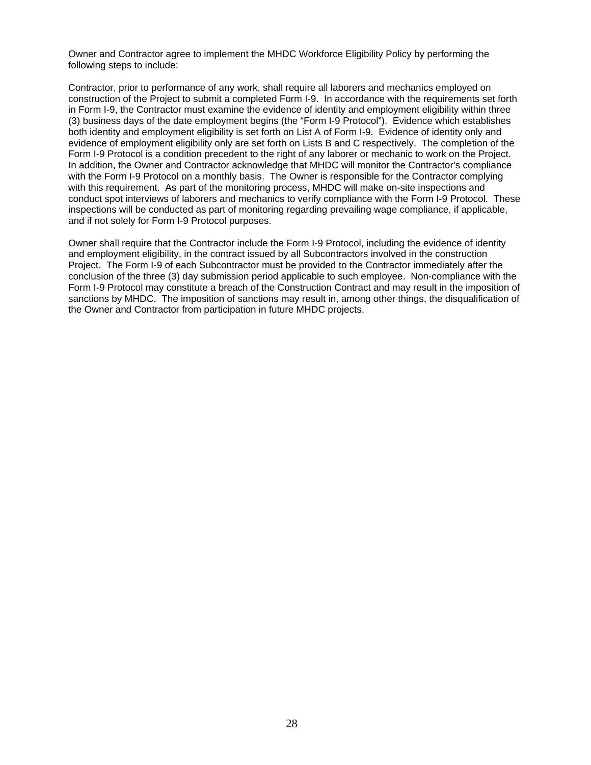Owner and Contractor agree to implement the MHDC Workforce Eligibility Policy by performing the following steps to include:

Contractor, prior to performance of any work, shall require all laborers and mechanics employed on construction of the Project to submit a completed Form I-9. In accordance with the requirements set forth in Form I-9, the Contractor must examine the evidence of identity and employment eligibility within three (3) business days of the date employment begins (the "Form I-9 Protocol"). Evidence which establishes both identity and employment eligibility is set forth on List A of Form I-9. Evidence of identity only and evidence of employment eligibility only are set forth on Lists B and C respectively. The completion of the Form I-9 Protocol is a condition precedent to the right of any laborer or mechanic to work on the Project. In addition, the Owner and Contractor acknowledge that MHDC will monitor the Contractor's compliance with the Form I-9 Protocol on a monthly basis. The Owner is responsible for the Contractor complying with this requirement. As part of the monitoring process, MHDC will make on-site inspections and conduct spot interviews of laborers and mechanics to verify compliance with the Form I-9 Protocol. These inspections will be conducted as part of monitoring regarding prevailing wage compliance, if applicable, and if not solely for Form I-9 Protocol purposes.

Owner shall require that the Contractor include the Form I-9 Protocol, including the evidence of identity and employment eligibility, in the contract issued by all Subcontractors involved in the construction Project. The Form I-9 of each Subcontractor must be provided to the Contractor immediately after the conclusion of the three (3) day submission period applicable to such employee. Non-compliance with the Form I-9 Protocol may constitute a breach of the Construction Contract and may result in the imposition of sanctions by MHDC. The imposition of sanctions may result in, among other things, the disqualification of the Owner and Contractor from participation in future MHDC projects.